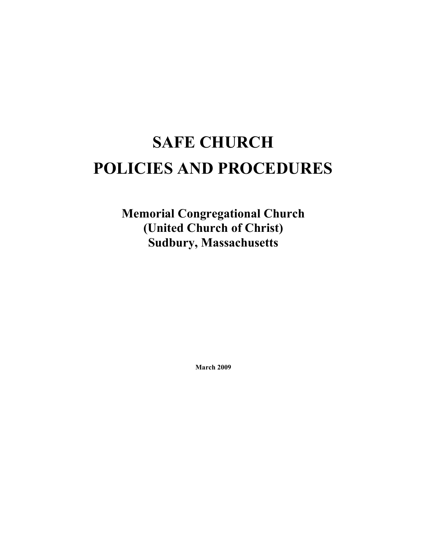# **SAFE CHURCH POLICIES AND PROCEDURES**

**Memorial Congregational Church (United Church of Christ) Sudbury, Massachusetts** 

**March 2009**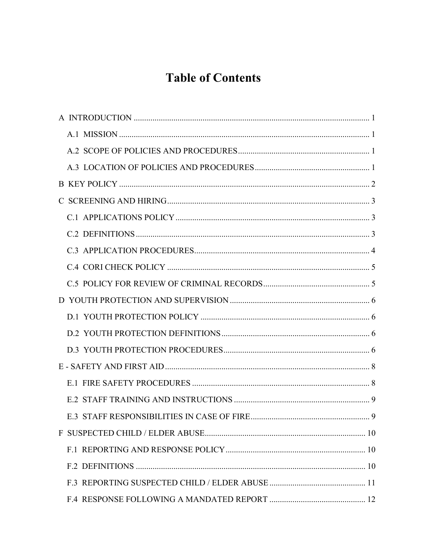# **Table of Contents**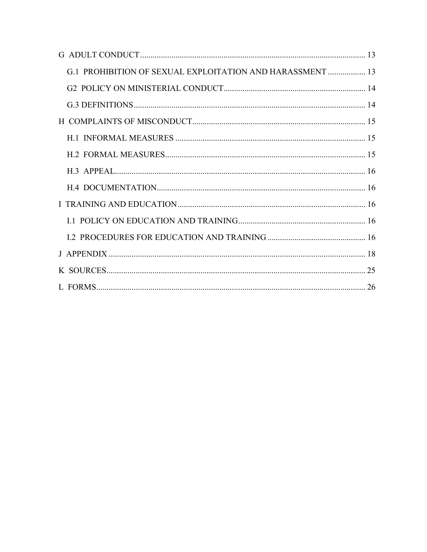| G.1 PROHIBITION OF SEXUAL EXPLOITATION AND HARASSMENT  13 |  |
|-----------------------------------------------------------|--|
|                                                           |  |
|                                                           |  |
|                                                           |  |
|                                                           |  |
|                                                           |  |
|                                                           |  |
|                                                           |  |
|                                                           |  |
|                                                           |  |
|                                                           |  |
|                                                           |  |
|                                                           |  |
|                                                           |  |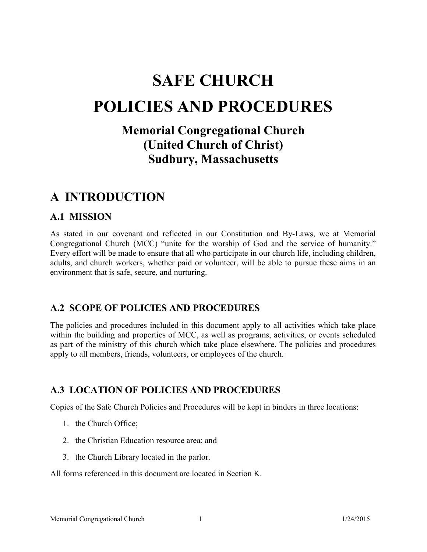# **SAFE CHURCH POLICIES AND PROCEDURES**

# **Memorial Congregational Church (United Church of Christ) Sudbury, Massachusetts**

# **A INTRODUCTION**

# **A.1 MISSION**

As stated in our covenant and reflected in our Constitution and By-Laws, we at Memorial Congregational Church (MCC) "unite for the worship of God and the service of humanity." Every effort will be made to ensure that all who participate in our church life, including children, adults, and church workers, whether paid or volunteer, will be able to pursue these aims in an environment that is safe, secure, and nurturing.

# **A.2 SCOPE OF POLICIES AND PROCEDURES**

The policies and procedures included in this document apply to all activities which take place within the building and properties of MCC, as well as programs, activities, or events scheduled as part of the ministry of this church which take place elsewhere. The policies and procedures apply to all members, friends, volunteers, or employees of the church.

# **A.3 LOCATION OF POLICIES AND PROCEDURES**

Copies of the Safe Church Policies and Procedures will be kept in binders in three locations:

- 1. the Church Office;
- 2. the Christian Education resource area; and
- 3. the Church Library located in the parlor.

All forms referenced in this document are located in Section K.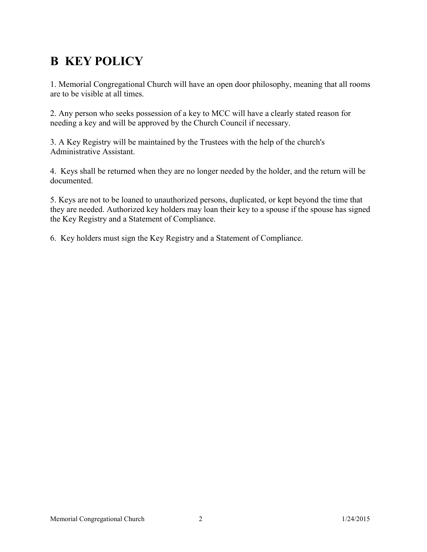# **B KEY POLICY**

1. Memorial Congregational Church will have an open door philosophy, meaning that all rooms are to be visible at all times.

2. Any person who seeks possession of a key to MCC will have a clearly stated reason for needing a key and will be approved by the Church Council if necessary.

3. A Key Registry will be maintained by the Trustees with the help of the church's Administrative Assistant.

4. Keys shall be returned when they are no longer needed by the holder, and the return will be documented.

5. Keys are not to be loaned to unauthorized persons, duplicated, or kept beyond the time that they are needed. Authorized key holders may loan their key to a spouse if the spouse has signed the Key Registry and a Statement of Compliance.

6. Key holders must sign the Key Registry and a Statement of Compliance.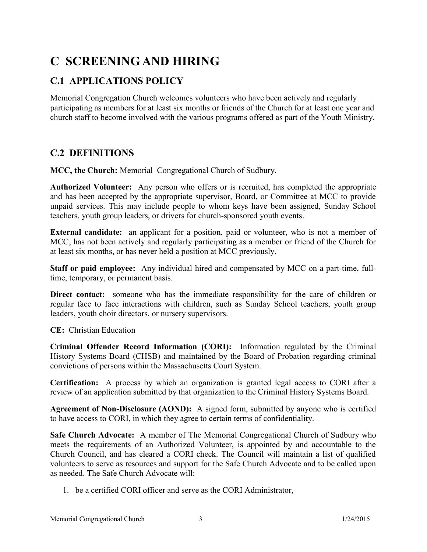# **C SCREENING AND HIRING**

# **C.1 APPLICATIONS POLICY**

Memorial Congregation Church welcomes volunteers who have been actively and regularly participating as members for at least six months or friends of the Church for at least one year and church staff to become involved with the various programs offered as part of the Youth Ministry.

# **C.2 DEFINITIONS**

**MCC, the Church:** Memorial Congregational Church of Sudbury.

**Authorized Volunteer:** Any person who offers or is recruited, has completed the appropriate and has been accepted by the appropriate supervisor, Board, or Committee at MCC to provide unpaid services. This may include people to whom keys have been assigned, Sunday School teachers, youth group leaders, or drivers for church-sponsored youth events.

**External candidate:** an applicant for <sup>a</sup> position, paid or volunteer, who is not <sup>a</sup> member of MCC, has not been actively and regularly participating as <sup>a</sup> member or friend of the Church for at least six months, or has never held a position at MCC previously.

**Staff or paid employee:** Any individual hired and compensated by MCC on <sup>a</sup> part-time, fulltime, temporary, or permanent basis.

**Direct contact:** someone who has the immediate responsibility for the care of children or regular face to face interactions with children, such as Sunday School teachers, youth group leaders, youth choir directors, or nursery supervisors.

**CE:** Christian Education

**Criminal Offender Record Information (CORI):** Information regulated by the Criminal History Systems Board (CHSB) and maintained by the Board of Probation regarding criminal convictions of persons within the Massachusetts Court System.

**Certification:** A process by which an organization is granted legal access to CORI after <sup>a</sup> review of an application submitted by that organization to the Criminal History Systems Board.

**Agreement of Non-Disclosure (AOND):** A signed form, submitted by anyone who is certified to have access to CORI, in which they agree to certain terms of confidentiality.

**Safe Church Advocate:** A member of The Memorial Congregational Church of Sudbury who meets the requirements of an Authorized Volunteer, is appointed by and accountable to the Church Council, and has cleared <sup>a</sup> CORI check. The Council will maintain <sup>a</sup> list of qualified volunteers to serve as resources and suppor<sup>t</sup> for the Safe Church Advocate and to be called upon as needed. The Safe Church Advocate will:

1. be a certified CORI officer and serve as the CORI Administrator,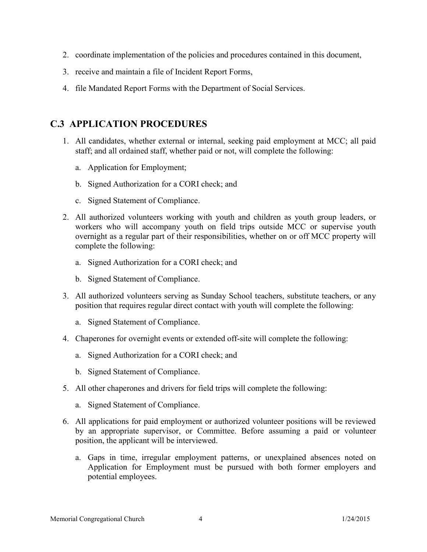- 2. coordinate implementation of the policies and procedures contained in this document,
- 3. receive and maintain a file of Incident Report Forms,
- 4. file Mandated Report Forms with the Department of Social Services.

# **C.3 APPLICATION PROCEDURES**

- 1. All candidates, whether external or internal, seeking paid employment at MCC; all paid staff; and all ordained staff, whether paid or not, will complete the following:
	- a. Application for Employment;
	- b. Signed Authorization for a CORI check; and
	- c. Signed Statement of Compliance.
- 2. All authorized volunteers working with youth and children as youth group leaders, or workers who will accompany youth on field trips outside MCC or supervise youth overnight as <sup>a</sup> regular par<sup>t</sup> of their responsibilities, whether on or off MCC property will complete the following:
	- a. Signed Authorization for a CORI check; and
	- b. Signed Statement of Compliance.
- 3. All authorized volunteers serving as Sunday School teachers, substitute teachers, or any position that requires regular direct contact with youth will complete the following:
	- a. Signed Statement of Compliance.
- 4. Chaperones for overnight events or extended off-site will complete the following:
	- a. Signed Authorization for a CORI check; and
	- b. Signed Statement of Compliance.
- 5. All other chaperones and drivers for field trips will complete the following:
	- a. Signed Statement of Compliance.
- 6. All applications for paid employment or authorized volunteer positions will be reviewed by an appropriate supervisor, or Committee. Before assuming <sup>a</sup> paid or volunteer position, the applicant will be interviewed.
	- a. Gaps in time, irregular employment patterns, or unexplained absences noted on Application for Employment must be pursued with both former employers and potential employees.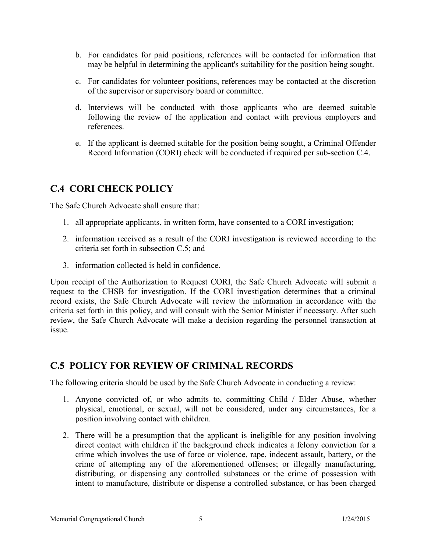- b. For candidates for paid positions, references will be contacted for information that may be helpful in determining the applicant's suitability for the position being sought.
- c. For candidates for volunteer positions, references may be contacted at the discretion of the supervisor or supervisory board or committee.
- d. Interviews will be conducted with those applicants who are deemed suitable following the review of the application and contact with previous employers and references.
- e. If the applicant is deemed suitable for the position being sought, <sup>a</sup> Criminal Offender Record Information (CORI) check will be conducted if required per sub-section C.4.

# **C.4 CORI CHECK POLICY**

The Safe Church Advocate shall ensure that:

- 1. all appropriate applicants, in written form, have consented to a CORI investigation;
- 2. information received as <sup>a</sup> result of the CORI investigation is reviewed according to the criteria set forth in subsection C.5; and
- 3. information collected is held in confidence.

Upon receipt of the Authorization to Request CORI, the Safe Church Advocate will submit <sup>a</sup> reques<sup>t</sup> to the CHSB for investigation. If the CORI investigation determines that <sup>a</sup> criminal record exists, the Safe Church Advocate will review the information in accordance with the criteria set forth in this policy, and will consult with the Senior Minister if necessary. After such review, the Safe Church Advocate will make <sup>a</sup> decision regarding the personnel transaction at issue.

# **C.5 POLICY FOR REVIEW OF CRIMINAL RECORDS**

The following criteria should be used by the Safe Church Advocate in conducting a review:

- 1. Anyone convicted of, or who admits to, committing Child / Elder Abuse, whether physical, emotional, or sexual, will not be considered, under any circumstances, for <sup>a</sup> position involving contact with children.
- 2. There will be <sup>a</sup> presumption that the applicant is ineligible for any position involving direct contact with children if the background check indicates <sup>a</sup> felony conviction for <sup>a</sup> crime which involves the use of force or violence, rape, indecent assault, battery, or the crime of attempting any of the aforementioned offenses; or illegally manufacturing, distributing, or dispensing any controlled substances or the crime of possession with intent to manufacture, distribute or dispense <sup>a</sup> controlled substance, or has been charged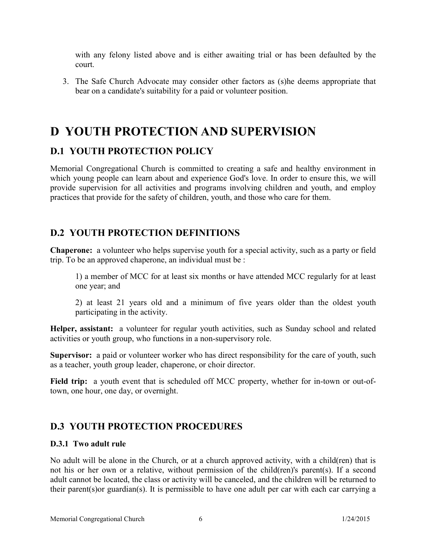with any felony listed above and is either awaiting trial or has been defaulted by the court.

3. The Safe Church Advocate may consider other factors as (s)he deems appropriate that bear on a candidate's suitability for a paid or volunteer position.

# **D YOUTH PROTECTION AND SUPERVISION**

# **D.1 YOUTH PROTECTION POLICY**

Memorial Congregational Church is committed to creating <sup>a</sup> safe and healthy environment in which young people can learn about and experience God's love. In order to ensure this, we will provide supervision for all activities and programs involving children and youth, and employ practices that provide for the safety of children, youth, and those who care for them.

# **D.2 YOUTH PROTECTION DEFINITIONS**

**Chaperone:** <sup>a</sup> volunteer who helps supervise youth for <sup>a</sup> special activity, such as <sup>a</sup> party or field trip. To be an approved chaperone, an individual must be :

1) <sup>a</sup> member of MCC for at least six months or have attended MCC regularly for at least one year; and

2) at least 21 years old and <sup>a</sup> minimum of five years older than the oldest youth participating in the activity.

**Helper, assistant:** <sup>a</sup> volunteer for regular youth activities, such as Sunday school and related activities or youth group, who functions in a non-supervisory role.

Supervisor: a paid or volunteer worker who has direct responsibility for the care of youth, such as a teacher, youth group leader, chaperone, or choir director.

**Field trip:** <sup>a</sup> youth event that is scheduled off MCC property, whether for in-town or out-oftown, one hour, one day, or overnight.

# **D.3 YOUTH PROTECTION PROCEDURES**

## **D.3.1 Two adult rule**

No adult will be alone in the Church, or at <sup>a</sup> church approved activity, with <sup>a</sup> child(ren) that is not his or her own or <sup>a</sup> relative, without permission of the child(ren)'s parent(s). If <sup>a</sup> second adult cannot be located, the class or activity will be canceled, and the children will be returned to their parent(s)or guardian(s). It is permissible to have one adult per car with each car carrying <sup>a</sup>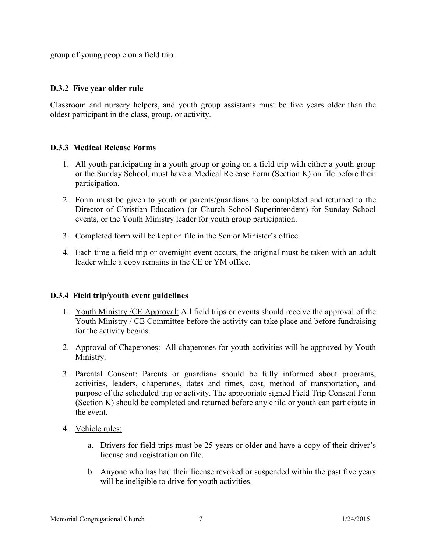group of young people on a field trip.

### **D.3.2 Five year older rule**

Classroom and nursery helpers, and youth group assistants must be five years older than the oldest participant in the class, group, or activity.

### **D.3.3 Medical Release Forms**

- 1. All youth participating in <sup>a</sup> youth group or going on <sup>a</sup> field trip with either <sup>a</sup> youth group or the Sunday School, must have <sup>a</sup> Medical Release Form (Section K) on file before their participation.
- 2. Form must be given to youth or parents/guardians to be completed and returned to the Director of Christian Education (or Church School Superintendent) for Sunday School events, or the Youth Ministry leader for youth group participation.
- 3. Completed form will be kept on file in the Senior Minister's office.
- 4. Each time <sup>a</sup> field trip or overnight event occurs, the original must be taken with an adult leader while a copy remains in the CE or YM office.

#### **D.3.4 Field trip/youth event guidelines**

- 1. Youth Ministry /CE Approval: All field trips or events should receive the approval of the Youth Ministry / CE Committee before the activity can take place and before fundraising for the activity begins.
- 2. Approval of Chaperones: All chaperones for youth activities will be approved by Youth Ministry.
- 3. Parental Consent: Parents or guardians should be fully informed about programs, activities, leaders, chaperones, dates and times, cost, method of transportation, and purpose of the scheduled trip or activity. The appropriate signed Field Trip Consent Form (Section K) should be completed and returned before any child or youth can participate in the event.
- 4. Vehicle rules:
	- a. Drivers for field trips must be 25 years or older and have <sup>a</sup> copy of their driver's license and registration on file.
	- b. Anyone who has had their license revoked or suspended within the pas<sup>t</sup> five years will be ineligible to drive for youth activities.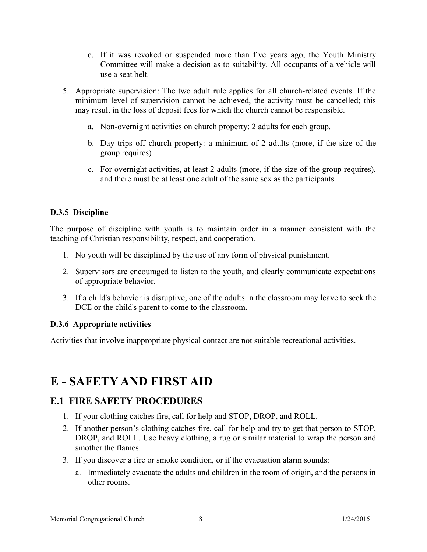- c. If it was revoked or suspended more than five years ago, the Youth Ministry Committee will make <sup>a</sup> decision as to suitability. All occupants of <sup>a</sup> vehicle will use a seat belt.
- 5. Appropriate supervision: The two adult rule applies for all church-related events. If the minimum level of supervision cannot be achieved, the activity must be cancelled; this may result in the loss of deposit fees for which the church cannot be responsible.
	- a. Non-overnight activities on church property: 2 adults for each group.
	- b. Day trips off church property: <sup>a</sup> minimum of 2 adults (more, if the size of the group requires)
	- c. For overnight activities, at least 2 adults (more, if the size of the group requires), and there must be at least one adult of the same sex as the participants.

## **D.3.5 Discipline**

The purpose of discipline with youth is to maintain order in <sup>a</sup> manner consistent with the teaching of Christian responsibility, respect, and cooperation.

- 1. No youth will be disciplined by the use of any form of physical punishment.
- 2. Supervisors are encouraged to listen to the youth, and clearly communicate expectations of appropriate behavior.
- 3. If a child's behavior is disruptive, one of the adults in the classroom may leave to seek the DCE or the child's parent to come to the classroom.

# **D.3.6 Appropriate activities**

Activities that involve inappropriate physical contact are not suitable recreational activities.

# **E - SAFETY AND FIRST AID**

# **E.1 FIRE SAFETY PROCEDURES**

- 1. If your clothing catches fire, call for help and STOP, DROP, and ROLL.
- 2. If another person's clothing catches fire, call for help and try to ge<sup>t</sup> that person to STOP, DROP, and ROLL. Use heavy clothing, <sup>a</sup> rug or similar material to wrap the person and smother the flames.
- 3. If you discover <sup>a</sup> fire or smoke condition, or if the evacuation alarm sounds:
	- a. Immediately evacuate the adults and children in the room of origin, and the persons in other rooms.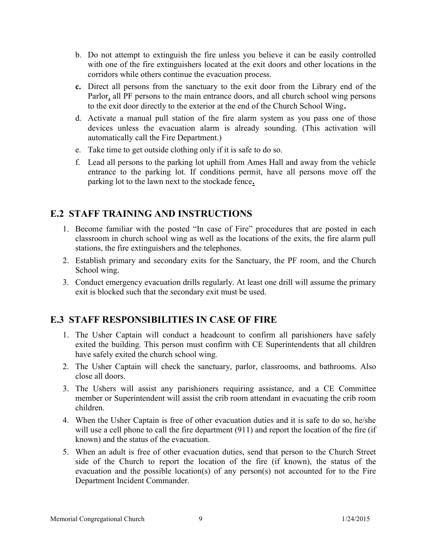- b. Do not attempt to extinguish the fire unless you believe it can be easily controlled with one of the fire extinguishers located at the exit doors and other locations in the corridors while others continue the evacuation process.
- **c.** Direct all persons from the sanctuary to the exit door from the Library end of the Parlor, all PF persons to the main entrance doors, and all church school wing persons to the exit door directly to the exterior at the end of the Church School Wing**.**
- d. Activate <sup>a</sup> manual pull station of the fire alarm system as you pass one of those devices unless the evacuation alarm is already sounding. (This activation will automatically call the Fire Department.)
- e. Take time to get outside clothing only if it is safe to do so.
- f. Lead all persons to the parking lot uphill from Ames Hall and away from the vehicle entrance to the parking lot. If conditions permit, have all persons move off the parking lot to the lawn next to the stockade fence**.**

# **E.2 STAFF TRAINING AND INSTRUCTIONS**

- 1. Become familiar with the posted "In case of Fire" procedures that are posted in each classroom in church school wing as well as the locations of the exits, the fire alarm pull stations, the fire extinguishers and the telephones.
- 2. Establish primary and secondary exits for the Sanctuary, the PF room, and the Church School wing.
- 3. Conduct emergency evacuation drills regularly. At least one drill will assume the primary exit is blocked such that the secondary exit must be used.

# **E.3 STAFF RESPONSIBILITIES IN CASE OF FIRE**

- 1. The Usher Captain will conduct <sup>a</sup> headcount to confirm all parishioners have safely exited the building. This person must confirm with CE Superintendents that all children have safely exited the church school wing.
- 2. The Usher Captain will check the sanctuary, parlor, classrooms, and bathrooms. Also close all doors.
- 3. The Ushers will assist any parishioners requiring assistance, and <sup>a</sup> CE Committee member or Superintendent will assist the crib room attendant in evacuating the crib room children.
- 4. When the Usher Captain is free of other evacuation duties and it is safe to do so, he/she will use a cell phone to call the fire department (911) and repor<sup>t</sup> the location of the fire (if known) and the status of the evacuation.
- 5. When an adult is free of other evacuation duties, send that person to the Church Street side of the Church to repor<sup>t</sup> the location of the fire (if known), the status of the evacuation and the possible location(s) of any person(s) not accounted for to the Fire Department Incident Commander.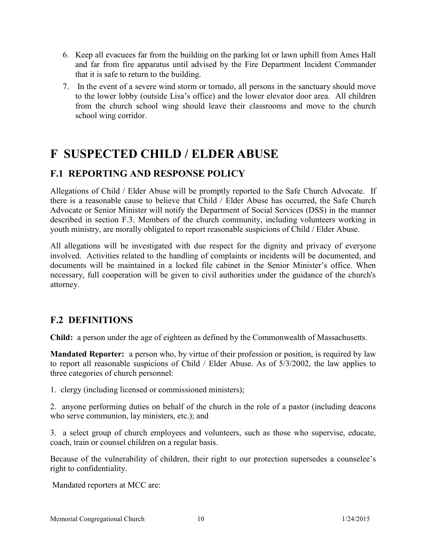- 6. Keep all evacuees far from the building on the parking lot or lawn uphill from Ames Hall and far from fire apparatus until advised by the Fire Department Incident Commander that it is safe to return to the building.
- 7. In the event of <sup>a</sup> severe wind storm or tornado, all persons in the sanctuary should move to the lower lobby (outside Lisa's office) and the lower elevator door area. All children from the church school wing should leave their classrooms and move to the church school wing corridor.

# **F SUSPECTED CHILD / ELDER ABUSE**

# **F.1 REPORTING AND RESPONSE POLICY**

Allegations of Child / Elder Abuse will be promptly reported to the Safe Church Advocate. If there is <sup>a</sup> reasonable cause to believe that Child / Elder Abuse has occurred, the Safe Church Advocate or Senior Minister will notify the Department of Social Services (DSS) in the manner described in section F.3. Members of the church community, including volunteers working in youth ministry, are morally obligated to report reasonable suspicions of Child / Elder Abuse.

All allegations will be investigated with due respec<sup>t</sup> for the dignity and privacy of everyone involved. Activities related to the handling of complaints or incidents will be documented, and documents will be maintained in <sup>a</sup> locked file cabinet in the Senior Minister's office. When necessary, full cooperation will be given to civil authorities under the guidance of the church's attorney.

# **F.2 DEFINITIONS**

**Child:** a person under the age of eighteen as defined by the Commonwealth of Massachusetts.

**Mandated Reporter:** <sup>a</sup> person who, by virtue of their profession or position, is required by law to repor<sup>t</sup> all reasonable suspicions of Child / Elder Abuse. As of 5/3/2002, the law applies to three categories of church personnel:

1. clergy (including licensed or commissioned ministers);

2. anyone performing duties on behalf of the church in the role of <sup>a</sup> pastor (including deacons who serve communion, lay ministers, etc.); and

3. <sup>a</sup> select group of church employees and volunteers, such as those who supervise, educate, coach, train or counsel children on a regular basis.

Because of the vulnerability of children, their right to our protection supersedes <sup>a</sup> counselee's right to confidentiality.

Mandated reporters at MCC are: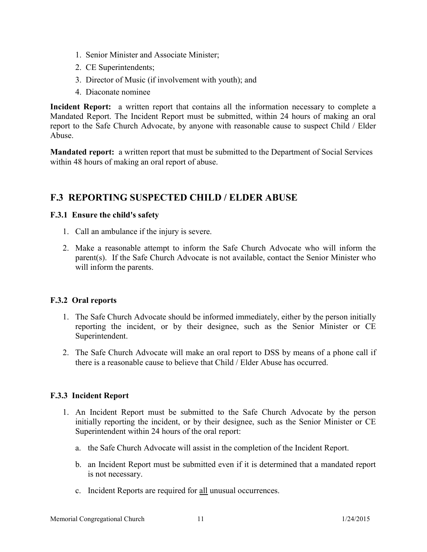- 1. Senior Minister and Associate Minister;
- 2. CE Superintendents;
- 3. Director of Music (if involvement with youth); and
- 4. Diaconate nominee

**Incident Report:** <sup>a</sup> written repor<sup>t</sup> that contains all the information necessary to complete <sup>a</sup> Mandated Report. The Incident Report must be submitted, within 24 hours of making an oral repor<sup>t</sup> to the Safe Church Advocate, by anyone with reasonable cause to suspec<sup>t</sup> Child / Elder Abuse.

**Mandated report:** a written report that must be submitted to the Department of Social Services within 48 hours of making an oral report of abuse.

# **F.3 REPORTING SUSPECTED CHILD / ELDER ABUSE**

### **F.3.1 Ensure the child's safety**

- 1. Call an ambulance if the injury is severe.
- 2. Make <sup>a</sup> reasonable attempt to inform the Safe Church Advocate who will inform the parent(s). If the Safe Church Advocate is not available, contact the Senior Minister who will inform the parents.

## **F.3.2 Oral reports**

- 1. The Safe Church Advocate should be informed immediately, either by the person initially reporting the incident, or by their designee, such as the Senior Minister or CE Superintendent.
- 2. The Safe Church Advocate will make an oral repor<sup>t</sup> to DSS by means of <sup>a</sup> phone call if there is <sup>a</sup> reasonable cause to believe that Child / Elder Abuse has occurred.

## **F.3.3 Incident Report**

- 1. An Incident Report must be submitted to the Safe Church Advocate by the person initially reporting the incident, or by their designee, such as the Senior Minister or CE Superintendent within 24 hours of the oral report:
	- a. the Safe Church Advocate will assist in the completion of the Incident Report.
	- b. an Incident Report must be submitted even if it is determined that <sup>a</sup> mandated repor<sup>t</sup> is not necessary.
	- c. Incident Reports are required for all unusual occurrences.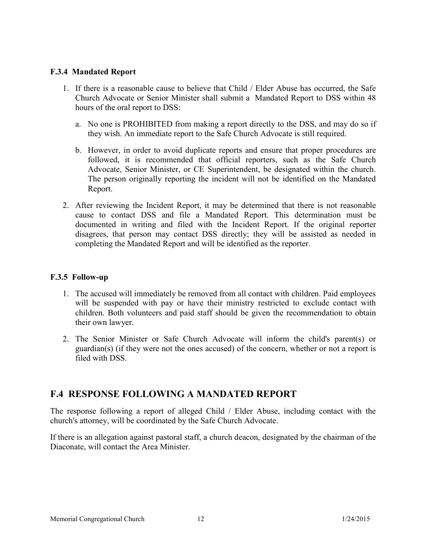### **F.3.4 Mandated Report**

- 1. If there is <sup>a</sup> reasonable cause to believe that Child / Elder Abuse has occurred, the Safe Church Advocate or Senior Minister shall submit <sup>a</sup> Mandated Report to DSS within 48 hours of the oral report to DSS:
	- a. No one is PROHIBITED from making <sup>a</sup> repor<sup>t</sup> directly to the DSS, and may do so if they wish. An immediate report to the Safe Church Advocate is still required.
	- b. However, in order to avoid duplicate reports and ensure that proper procedures are followed, it is recommended that official reporters, such as the Safe Church Advocate, Senior Minister, or CE Superintendent, be designated within the church. The person originally reporting the incident will not be identified on the Mandated Report.
- 2. After reviewing the Incident Report, it may be determined that there is not reasonable cause to contact DSS and file <sup>a</sup> Mandated Report. This determination must be documented in writing and filed with the Incident Report. If the original reporter disagrees, that person may contact DSS directly; they will be assisted as needed in completing the Mandated Report and will be identified as the reporter.

### **F.3.5 Follow-up**

- 1. The accused will immediately be removed from all contact with children. Paid employees will be suspended with pay or have their ministry restricted to exclude contact with children. Both volunteers and paid staff should be given the recommendation to obtain their own lawyer.
- 2. The Senior Minister or Safe Church Advocate will inform the child's parent(s) or guardian(s) (if they were not the ones accused) of the concern, whether or not <sup>a</sup> repor<sup>t</sup> is filed with DSS.

# **F.4 RESPONSE FOLLOWING A MANDATED REPORT**

The response following <sup>a</sup> repor<sup>t</sup> of alleged Child / Elder Abuse, including contact with the church's attorney, will be coordinated by the Safe Church Advocate.

If there is an allegation against pastoral staff, <sup>a</sup> church deacon, designated by the chairman of the Diaconate, will contact the Area Minister.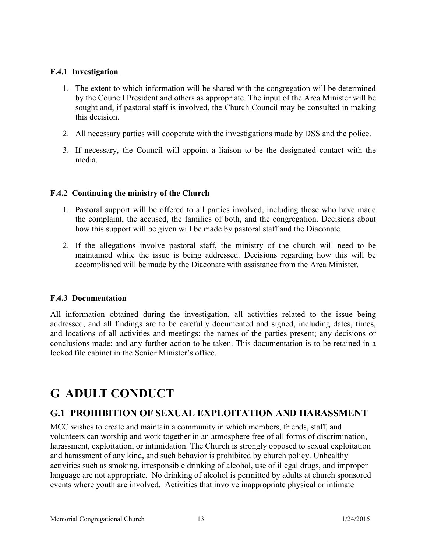## **F.4.1 Investigation**

- 1. The extent to which information will be shared with the congregation will be determined by the Council President and others as appropriate. The input of the Area Minister will be sought and, if pastoral staff is involved, the Church Council may be consulted in making this decision.
- 2. All necessary parties will cooperate with the investigations made by DSS and the police.
- 3. If necessary, the Council will appoint <sup>a</sup> liaison to be the designated contact with the media.

## **F.4.2 Continuing the ministry of the Church**

- 1. Pastoral suppor<sup>t</sup> will be offered to all parties involved, including those who have made the complaint, the accused, the families of both, and the congregation. Decisions about how this support will be given will be made by pastoral staff and the Diaconate.
- 2. If the allegations involve pastoral staff, the ministry of the church will need to be maintained while the issue is being addressed. Decisions regarding how this will be accomplished will be made by the Diaconate with assistance from the Area Minister.

## **F.4.3 Documentation**

All information obtained during the investigation, all activities related to the issue being addressed, and all findings are to be carefully documented and signed, including dates, times, and locations of all activities and meetings; the names of the parties present; any decisions or conclusions made; and any further action to be taken. This documentation is to be retained in <sup>a</sup> locked file cabinet in the Senior Minister's office.

# **G ADULT CONDUCT**

# **G.1 PROHIBITION OF SEXUAL EXPLOITATION AND HARASSMENT**

MCC wishes to create and maintain a community in which members, friends, staff, and volunteers can worship and work together in an atmosphere free of all forms of discrimination, harassment, exploitation, or intimidation. The Church is strongly opposed to sexual exploitation and harassment of any kind, and such behavior is prohibited by church policy. Unhealthy activities such as smoking, irresponsible drinking of alcohol, use of illegal drugs, and improper language are not appropriate. No drinking of alcohol is permitted by adults at church sponsored events where youth are involved. Activities that involve inappropriate physical or intimate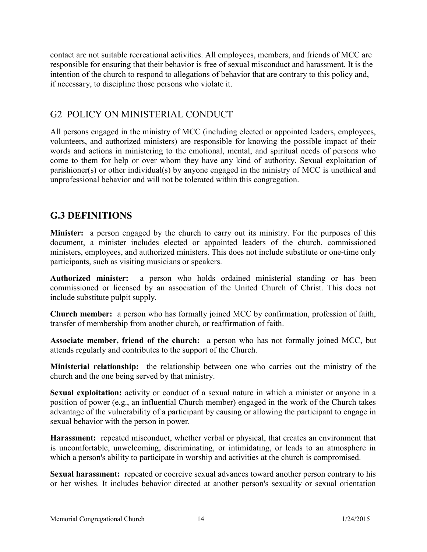contact are not suitable recreational activities. All employees, members, and friends of MCC are responsible for ensuring that their behavior is free of sexual misconduct and harassment. It is the intention of the church to respond to allegations of behavior that are contrary to this policy and, if necessary, to discipline those persons who violate it.

# G2 POLICY ON MINISTERIAL CONDUCT

All persons engaged in the ministry of MCC (including elected or appointed leaders, employees, volunteers, and authorized ministers) are responsible for knowing the possible impact of their words and actions in ministering to the emotional, mental, and spiritual needs of persons who come to them for help or over whom they have any kind of authority. Sexual exploitation of parishioner(s) or other individual(s) by anyone engaged in the ministry of MCC is unethical and unprofessional behavior and will not be tolerated within this congregation.

# **G.3 DEFINITIONS**

**Minister:** a person engaged by the church to carry out its ministry. For the purposes of this document, <sup>a</sup> minister includes elected or appointed leaders of the church, commissioned ministers, employees, and authorized ministers. This does not include substitute or one-time only participants, such as visiting musicians or speakers.

**Authorized minister:** <sup>a</sup> person who holds ordained ministerial standing or has been commissioned or licensed by an association of the United Church of Christ. This does not include substitute pulpit supply.

**Church member:** <sup>a</sup> person who has formally joined MCC by confirmation, profession of faith, transfer of membership from another church, or reaffirmation of faith.

**Associate member, friend of the church:** <sup>a</sup> person who has not formally joined MCC, but attends regularly and contributes to the support of the Church.

**Ministerial relationship:** the relationship between one who carries out the ministry of the church and the one being served by that ministry.

**Sexual exploitation:** activity or conduct of <sup>a</sup> sexual nature in which <sup>a</sup> minister or anyone in <sup>a</sup> position of power (e.g., an influential Church member) engaged in the work of the Church takes advantage of the vulnerability of a participant by causing or allowing the participant to engage in sexual behavior with the person in power.

**Harassment:** repeated misconduct, whether verbal or physical, that creates an environment that is uncomfortable, unwelcoming, discriminating, or intimidating, or leads to an atmosphere in which a person's ability to participate in worship and activities at the church is compromised.

**Sexual harassment:** repeated or coercive sexual advances toward another person contrary to his or her wishes. It includes behavior directed at another person's sexuality or sexual orientation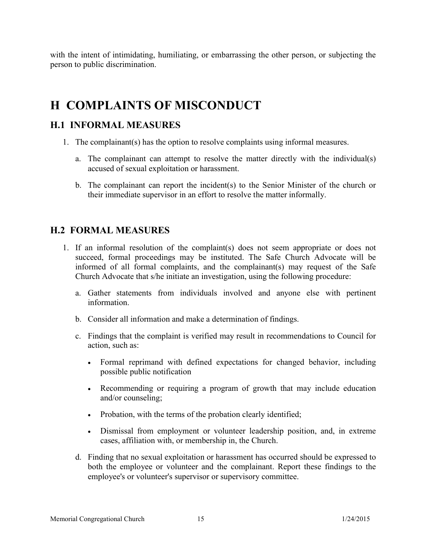with the intent of intimidating, humiliating, or embarrassing the other person, or subjecting the person to public discrimination.

# **H COMPLAINTS OF MISCONDUCT**

# **H.1 INFORMAL MEASURES**

- 1. The complainant(s) has the option to resolve complaints using informal measures.
	- a. The complainant can attempt to resolve the matter directly with the individual(s) accused of sexual exploitation or harassment.
	- b. The complainant can repor<sup>t</sup> the incident(s) to the Senior Minister of the church or their immediate supervisor in an effort to resolve the matter informally.

# **H.2 FORMAL MEASURES**

- 1. If an informal resolution of the complaint(s) does not seem appropriate or does not succeed, formal proceedings may be instituted. The Safe Church Advocate will be informed of all formal complaints, and the complainant(s) may reques<sup>t</sup> of the Safe Church Advocate that s/he initiate an investigation, using the following procedure:
	- a. Gather statements from individuals involved and anyone else with pertinent information.
	- b. Consider all information and make a determination of findings.
	- c. Findings that the complaint is verified may result in recommendations to Council for action, such as:
		- Formal reprimand with defined expectations for changed behavior, including possible public notification
		- $\bullet$  Recommending or requiring <sup>a</sup> program of growth that may include education and/or counseling;
		- Probation, with the terms of the probation clearly identified;
		- Dismissal from employment or volunteer leadership position, and, in extreme cases, affiliation with, or membership in, the Church.
	- d. Finding that no sexual exploitation or harassment has occurred should be expressed to both the employee or volunteer and the complainant. Report these findings to the employee's or volunteer's supervisor or supervisory committee.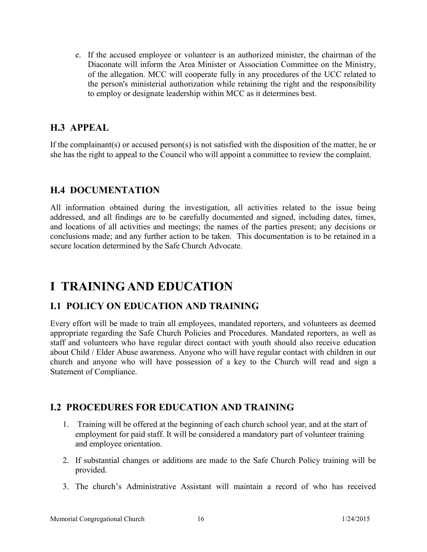e. If the accused employee or volunteer is an authorized minister, the chairman of the Diaconate will inform the Area Minister or Association Committee on the Ministry, of the allegation. MCC will cooperate fully in any procedures of the UCC related to the person's ministerial authorization while retaining the right and the responsibility to employ or designate leadership within MCC as it determines best.

# **H.3 APPEAL**

If the complainant(s) or accused person(s) is not satisfied with the disposition of the matter, he or she has the right to appeal to the Council who will appoint a committee to review the complaint.

# **H.4 DOCUMENTATION**

All information obtained during the investigation, all activities related to the issue being addressed, and all findings are to be carefully documented and signed, including dates, times, and locations of all activities and meetings; the names of the parties present; any decisions or conclusions made; and any further action to be taken. This documentation is to be retained in <sup>a</sup> secure location determined by the Safe Church Advocate.

# **I TRAINING AND EDUCATION**

# **I.1 POLICY ON EDUCATION AND TRAINING**

Every effort will be made to train all employees, mandated reporters, and volunteers as deemed appropriate regarding the Safe Church Policies and Procedures. Mandated reporters, as well as staff and volunteers who have regular direct contact with youth should also receive education about Child / Elder Abuse awareness. Anyone who will have regular contact with children in our church and anyone who will have possession of <sup>a</sup> key to the Church will read and sign <sup>a</sup> Statement of Compliance.

# **I.2 PROCEDURES FOR EDUCATION AND TRAINING**

- 1. Training will be offered at the beginning of each church school year, and at the start of employment for paid staff. It will be considered a mandatory part of volunteer training and employee orientation.
- 2. If substantial changes or additions are made to the Safe Church Policy training will be provided.
- 3. The church's Administrative Assistant will maintain <sup>a</sup> record of who has received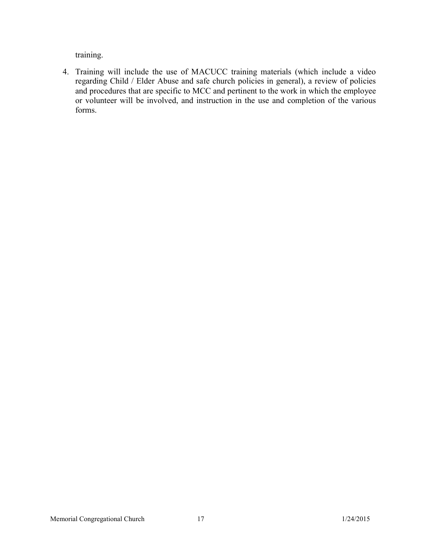training.

4. Training will include the use of MACUCC training materials (which include <sup>a</sup> video regarding Child / Elder Abuse and safe church policies in general), <sup>a</sup> review of policies and procedures that are specific to MCC and pertinent to the work in which the employee or volunteer will be involved, and instruction in the use and completion of the various forms.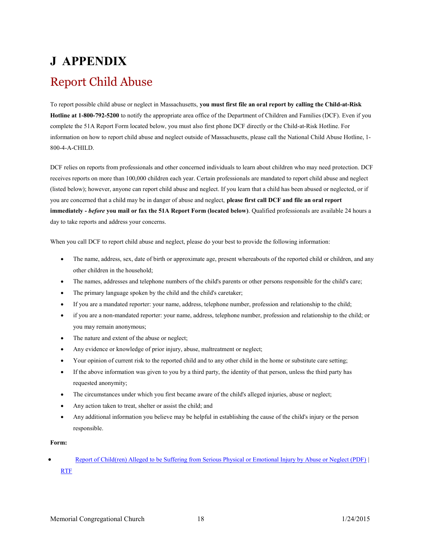# **J APPENDIX** Report Child Abuse

To repor<sup>t</sup> possible child abuse or neglect in Massachusetts, **you must first file an oral report by calling the Child-at-Risk Hotline at 1-800-792-5200** to notify the appropriate area office of the Department of Children and Families (DCF). Even if you complete the 51A Report Form located below, you must also first phone DCF directly or the Child-at-Risk Hotline. For information on how to report child abuse and neglect outside of Massachusetts, please call the National Child Abuse Hotline, 1- 800-4-A-CHILD.

DCF relies on reports from professionals and other concerned individuals to learn about children who may need protection. DCF receives reports on more than 100,000 children each year. Certain professionals are mandated to report child abuse and neglect (listed below); however, anyone can report child abuse and neglect. If you learn that a child has been abused or neglected, or if you are concerned that a child may be in danger of abuse and neglect, **please first call DCF and file an oral report immediately -** *before* **you mail or fax the 51A Report Form (located below)**. Qualified professionals are available 24 hours <sup>a</sup> day to take reports and address your concerns.

When you call DCF to report child abuse and neglect, please do your best to provide the following information:

- $\bullet$  The name, address, sex, date of birth or approximate age, present whereabouts of the reported child or children, and any other children in the household;
- xThe names, addresses and telephone numbers of the child's parents or other persons responsible for the child's care;
- xThe primary language spoken by the child and the child's caretaker;
- xIf you are <sup>a</sup> mandated reporter: your name, address, telephone number, profession and relationship to the child;
- x if you are a non-mandated reporter: your name, address, telephone number, profession and relationship to the child; or you may remain anonymous;
- xThe nature and extent of the abuse or neglect;
- xAny evidence or knowledge of prior injury, abuse, maltreatment or neglect;
- xYour opinion of current risk to the reported child and to any other child in the home or substitute care setting;
- x If the above information was given to you by a third party, the identity of that person, unless the third party has requested anonymity;
- xThe circumstances under which you first became aware of the child's alleged injuries, abuse or neglect;
- xAny action taken to treat, shelter or assist the child; and
- x Any additional information you believe may be helpful in establishing the cause of the child's injury or the person responsible.

#### **Form:**

 $\bullet$  Report of Child(ren) Alleged to be Suffering from Serious Physical or Emotional Injury by Abuse or Neglect (PDF) | RTF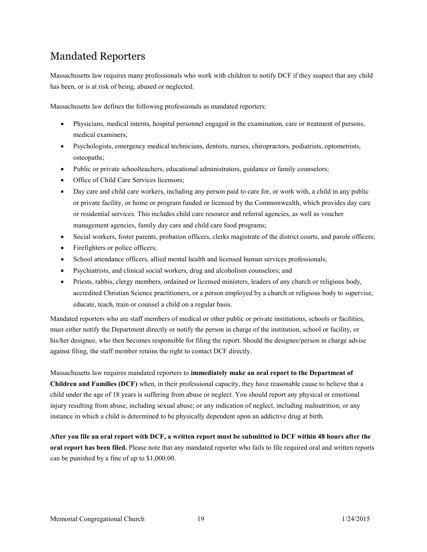# Mandated Reporters

Massachusetts law requires many professionals who work with children to notify DCF if they suspect that any child has been, or is at risk of being, abused or neglected.

Massachusetts law defines the following professionals as mandated reporters:

- $\bullet$  Physicians, medical interns, hospital personnel engaged in the examination, care or treatment of persons, medical examiners;
- $\bullet$  Psychologists, emergency medical technicians, dentists, nurses, chiropractors, podiatrists, optometrists, osteopaths;
- $\bullet$ Public or private schoolteachers, educational administrators, guidance or family counselors;
- xOffice of Child Care Services licensors;
- x Day care and child care workers, including any person paid to care for, or work with, a child in any public or private facility, or home or program funded or licensed by the Commonwealth, which provides day care or residential services. This includes child care resource and referral agencies, as well as voucher management agencies, family day care and child care food programs;
- xSocial workers, foster parents, probation officers, clerks magistrate of the district courts, and parole officers;
- xFirefighters or police officers;
- xSchool attendance officers, allied mental health and licensed human services professionals;
- $\bullet$ Psychiatrists, and clinical social workers, drug and alcoholism counselors; and
- $\bullet$  Priests, rabbis, clergy members, ordained or licensed ministers, leaders of any church or religious body, accredited Christian Science practitioners, or a person employed by <sup>a</sup> church or religious body to supervise, educate, teach, train or counsel a child on a regular basis.

Mandated reporters who are staff members of medical or other public or private institutions, schools or facilities, must either notify the Department directly or notify the person in charge of the institution, school or facility, or his/her designee, who then becomes responsible for filing the report. Should the designee/person in charge advise against filing, the staff member retains the right to contact DCF directly.

Massachusetts law requires mandated reporters to **immediately make an oral repor<sup>t</sup> to the Department of Children and Families (DCF)** when, in their professional capacity, they have reasonable cause to believe that a child under the age of 18 years is suffering from abuse or neglect. You should report any physical or emotional injury resulting from abuse, including sexual abuse; or any indication of neglect, including malnutrition; or any instance in which a child is determined to be physically dependent upon an addictive drug at birth.

**After you file an oral report with DCF, <sup>a</sup> written report must be submitted to DCF within 48 hours after the oral report has been filed.** Please note that any mandated reporter who fails to file required oral and written reports can be punished by <sup>a</sup> fine of up to \$1,000.00.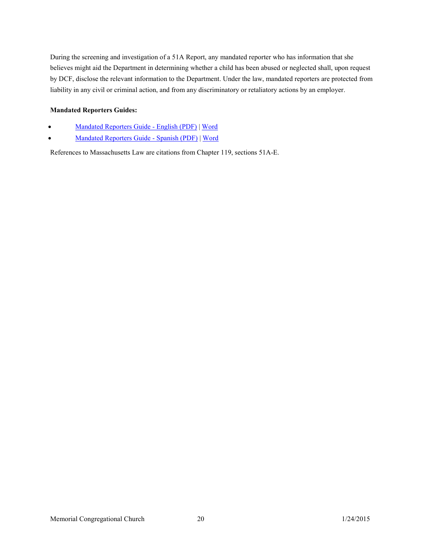During the screening and investigation of <sup>a</sup> 51A Report, any mandated reporter who has information that she believes might aid the Department in determining whether <sup>a</sup> child has been abused or neglected shall, upon reques<sup>t</sup> by DCF, disclose the relevant information to the Department. Under the law, mandated reporters are protected from liability in any civil or criminal action, and from any discriminatory or retaliatory actions by an employer.

#### **Mandated Reporters Guides:**

- xMandated Reporters Guide - English (PDF) | Word
- xMandated Reporters Guide - Spanish (PDF) | Word

References to Massachusetts Law are citations from Chapter 119, sections 51A-E.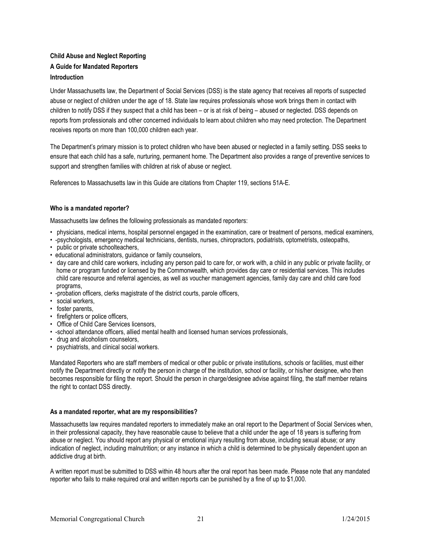### **Child Abuse and Neglect Reporting A Guide for Mandated Reporters Introduction**

Under Massachusetts law, the Department of Social Services (DSS) is the state agency that receives all reports of suspected abuse or neglect of children under the age of 18. State law requires professionals whose work brings them in contact with children to notify DSS if they suspect that a child has been – or is at risk of being – abused or neglected. DSS depends on reports from professionals and other concerned individuals to learn about children who may need protection. The Department receives reports on more than 100,000 children each year.

The Department's primary mission is to protect children who have been abused or neglected in a family setting. DSS seeks to ensure that each child has a safe, nurturing, permanent home. The Department also provides <sup>a</sup> range of preventive services to support and strengthen families with children at risk of abuse or neglect.

References to Massachusetts law in this Guide are citations from Chapter 119, sections 51A-E.

#### **Who is a mandated reporter?**

Massachusetts law defines the following professionals as mandated reporters:

- physicians, medical interns, hospital personnel engaged in the examination, care or treatment of persons, medical examiners,
- -psychologists, emergency medical technicians, dentists, nurses, chiropractors, podiatrists, optometrists, osteopaths,
- public or private schoolteachers,
- educational administrators, guidance or family counselors,
- day care and child care workers, including any person paid to care for, or work with, a child in any public or private facility, or home or program funded or licensed by the Commonwealth, which provides day care or residential services. This includes child care resource and referral agencies, as well as voucher management agencies, family day care and child care food programs,
- -probation officers, clerks magistrate of the district courts, parole officers,
- social workers,
- foster parents,
- firefighters or police officers.
- Office of Child Care Services licensors,
- -school attendance officers, allied mental health and licensed human services professionals,
- drug and alcoholism counselors,
- psychiatrists, and clinical social workers.

Mandated Reporters who are staff members of medical or other public or private institutions, schools or facilities, must either notify the Department directly or notify the person in charge of the institution, school or facility, or his/her designee, who then becomes responsible for filing the report. Should the person in charge/designee advise against filing, the staff member retains the right to contact DSS directly.

#### **As a mandated reporter, what are my responsibilities?**

Massachusetts law requires mandated reporters to immediately make an oral report to the Department of Social Services when, in their professional capacity, they have reasonable cause to believe that <sup>a</sup> child under the age of 18 years is suffering from abuse or neglect. You should report any physical or emotional injury resulting from abuse, including sexual abuse; or any indication of neglect, including malnutrition; or any instance in which a child is determined to be physically dependent upon an addictive drug at birth.

A written report must be submitted to DSS within 48 hours after the oral report has been made. Please note that any mandated reporter who fails to make required oral and written reports can be punished by a fine of up to \$1,000.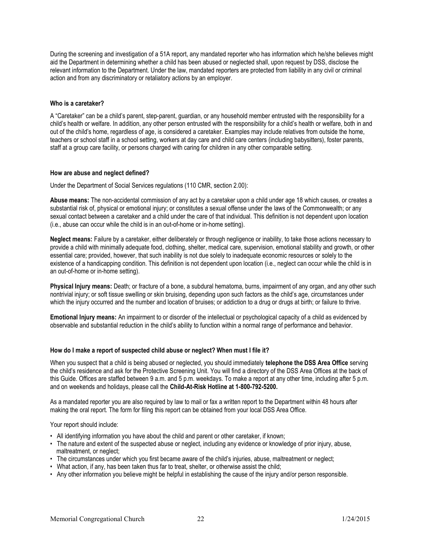During the screening and investigation of a 51A report, any mandated reporter who has information which he/she believes might aid the Department in determining whether a child has been abused or neglected shall, upon request by DSS, disclose the relevant information to the Department. Under the law, mandated reporters are protected from liability in any civil or criminal action and from any discriminatory or retaliatory actions by an employer.

#### **Who is a caretaker?**

A "Caretaker" can be a child's parent, step-parent, guardian, or any household member entrusted with the responsibility for a child's health or welfare. In addition, any other person entrusted with the responsibility for a child's health or welfare, both in and out of the child's home, regardless of age, is considered a caretaker. Examples may include relatives from outside the home, teachers or school staff in a school setting, workers at day care and child care centers (including babysitters), foster parents, staff at a group care facility, or persons charged with caring for children in any other comparable setting.

#### **How are abuse and neglect defined?**

Under the Department of Social Services regulations (110 CMR, section 2.00):

**Abuse means:** The non-accidental commission of any act by a caretaker upon a child under age 18 which causes, or creates a substantial risk of, physical or emotional injury; or constitutes a sexual offense under the laws of the Commonwealth; or any sexual contact between <sup>a</sup> caretaker and <sup>a</sup> child under the care of that individual. This definition is not dependent upon location (i.e., abuse can occur while the child is in an out-of-home or in-home setting).

**Neglect means:** Failure by a caretaker, either deliberately or through negligence or inability, to take those actions necessary to provide a child with minimally adequate food, clothing, shelter, medical care, supervision, emotional stability and growth, or other essential care; provided, however, that such inability is not due solely to inadequate economic resources or solely to the existence of a handicapping condition. This definition is not dependent upon location (i.e., neglect can occur while the child is in an out-of-home or in-home setting).

**Physical Injury means:** Death; or fracture of a bone, a subdural hematoma, burns, impairment of any organ, and any other such nontrivial injury; or soft tissue swelling or skin bruising, depending upon such factors as the child's age, circumstances under which the injury occurred and the number and location of bruises; or addiction to a drug or drugs at birth; or failure to thrive.

**Emotional Injury means:** An impairment to or disorder of the intellectual or psychological capacity of <sup>a</sup> child as evidenced by observable and substantial reduction in the child's ability to function within a normal range of performance and behavior.

#### **How do I make a report of suspected child abuse or neglect? When must I file it?**

When you suspect that a child is being abused or neglected, you should immediately **telephone the DSS Area Office** serving the child's residence and ask for the Protective Screening Unit. You will find a directory of the DSS Area Offices at the back of this Guide. Offices are staffed between 9 a.m. and 5 p.m. weekdays. To make a report at any other time, including after 5 p.m. and on weekends and holidays, please call the **Child-At-Risk Hotline at 1-800-792-5200.**

As a mandated reporter you are also required by law to mail or fax a written report to the Department within 48 hours after making the oral report. The form for filing this report can be obtained from your local DSS Area Office.

Your report should include:

- All identifying information you have about the child and parent or other caretaker, if known;
- The nature and extent of the suspected abuse or neglect, including any evidence or knowledge of prior injury, abuse, maltreatment, or neglect;
- The circumstances under which you first became aware of the child's injuries, abuse, maltreatment or neglect;
- What action, if any, has been taken thus far to treat, shelter, or otherwise assist the child;
- Any other information you believe might be helpful in establishing the cause of the injury and/or person responsible.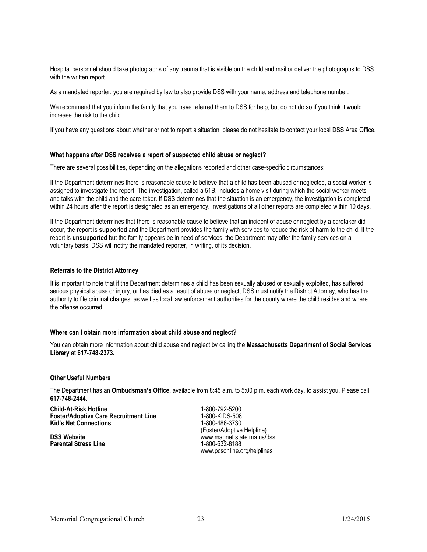Hospital personnel should take photographs of any trauma that is visible on the child and mail or deliver the photographs to DSS with the written report.

As a mandated reporter, you are required by law to also provide DSS with your name, address and telephone number.

We recommend that you inform the family that you have referred them to DSS for help, but do not do so if you think it would increase the risk to the child.

If you have any questions about whether or not to report a situation, please do not hesitate to contact your local DSS Area Office.

#### **What happens after DSS receives a report of suspected child abuse or neglect?**

There are several possibilities, depending on the allegations reported and other case-specific circumstances:

If the Department determines there is reasonable cause to believe that <sup>a</sup> child has been abused or neglected, a social worker is assigned to investigate the report. The investigation, called a 51B, includes a home visit during which the social worker meets and talks with the child and the care-taker. If DSS determines that the situation is an emergency, the investigation is completed within 24 hours after the report is designated as an emergency. Investigations of all other reports are completed within 10 days.

If the Department determines that there is reasonable cause to believe that an incident of abuse or neglect by a caretaker did occur, the report is **supported** and the Department provides the family with services to reduce the risk of harm to the child. If the report is **unsupported** but the family appears be in need of services, the Department may offer the family services on <sup>a</sup> voluntary basis. DSS will notify the mandated reporter, in writing, of its decision.

#### **Referrals to the District Attorney**

It is important to note that if the Department determines a child has been sexually abused or sexually exploited, has suffered serious physical abuse or injury, or has died as a result of abuse or neglect, DSS must notify the District Attorney, who has the authority to file criminal charges, as well as local law enforcement authorities for the county where the child resides and where the offense occurred.

#### **Where can I obtain more information about child abuse and neglect?**

You can obtain more information about child abuse and neglect by calling the **Massachusetts Department of Social Services Library** at **617-748-2373.**

#### **Other Useful Numbers**

The Department has an **Ombudsman's Office,** available from 8:45 a.m. to 5:00 p.m. each work day, to assist you. Please call **617-748-2444.**

**Child-At-Risk Hotline** 1-800-792-5200 **Foster/Adoptive Care Recruitment Line** 1-800-KIDS-508<br> **Kid's Net Connections** 1-800-486-3730 **Kid's Net Connections** 

**Parental Stress Line** 

(Foster/Adoptive Helpline) **DSS Website**<br> **Parental Stress Line**<br> **Parental Stress Line**<br> **Parental Stress Line** www.pcsonline.org/helplines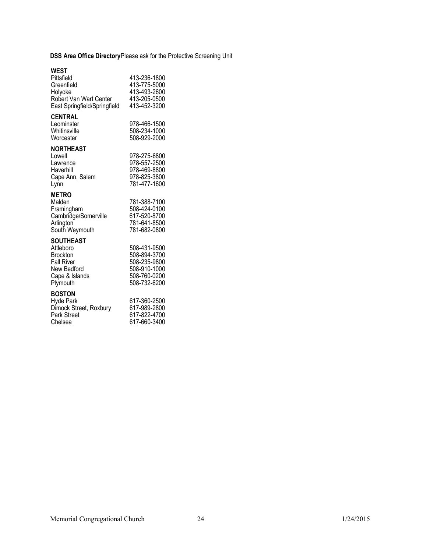**DSS Area Office Directory**Please ask for the Protective Screening Unit

### **WEST**

| Pittsfield<br>Greenfield<br>Holyoke<br><b>Robert Van Wart Center</b><br>East Springfield/Springfield               | 413-236-1800<br>413-775-5000<br>413-493-2600<br>413-205-0500<br>413-452-3200                 |
|--------------------------------------------------------------------------------------------------------------------|----------------------------------------------------------------------------------------------|
| <b>CENTRAL</b><br>Leominster<br>Whitinsville<br>Worcester                                                          | 978-466-1500<br>508-234-1000<br>508-929-2000                                                 |
| <b>NORTHEAST</b><br>Lowell<br>Lawrence<br>Haverhill<br>Cape Ann, Salem<br>Lynn                                     | 978-275-6800<br>978-557-2500<br>978-469-8800<br>978-825-3800<br>781-477-1600                 |
| <b>METRO</b><br>Malden<br>Framingham<br>Cambridge/Somerville<br>Arlington<br>South Weymouth                        | 781-388-7100<br>508-424-0100<br>617-520-8700<br>781-641-8500<br>781-682-0800                 |
| <b>SOUTHEAST</b><br>Attleboro<br><b>Brockton</b><br><b>Fall River</b><br>New Bedford<br>Cape & Islands<br>Plymouth | 508-431-9500<br>508-894-3700<br>508-235-9800<br>508-910-1000<br>508-760-0200<br>508-732-6200 |
| <b>BOSTON</b><br><b>Hyde Park</b><br>Dimock Street, Roxbury<br>Park Street<br>Chelsea                              | 617-360-2500<br>617-989-2800<br>617-822-4700<br>617-660-3400                                 |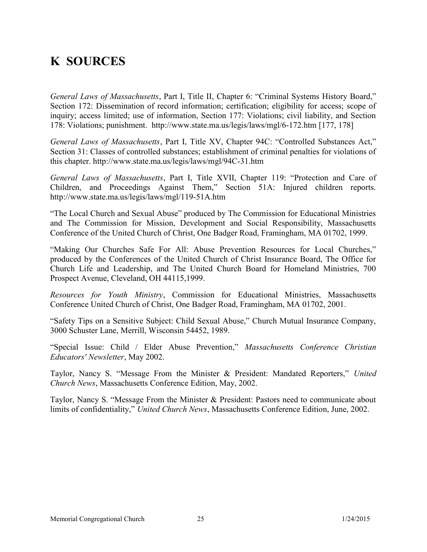# **K SOURCES**

*General Laws of Massachusetts*, Part I, Title II, Chapter 6: "Criminal Systems History Board," Section 172: Dissemination of record information; certification; eligibility for access; scope of inquiry; access limited; use of information, Section 177: Violations; civil liability, and Section 178: Violations; punishment. http://www.state.ma.us/legis/laws/mgl/6-172.htm [177, 178]

*General Laws of Massachusetts*, Part I, Title XV, Chapter 94C: "Controlled Substances Act," Section 31: Classes of controlled substances; establishment of criminal penalties for violations of this chapter. http://www.state.ma.us/legis/laws/mgl/94C-31.htm

*General Laws of Massachusetts*, Part I, Title XVII, Chapter 119: "Protection and Care of Children, and Proceedings Against Them," Section 51A: Injured children reports. http://www.state.ma.us/legis/laws/mgl/119-51A.htm

"The Local Church and Sexual Abuse" produced by The Commission for Educational Ministries and The Commission for Mission, Development and Social Responsibility, Massachusetts Conference of the United Church of Christ, One Badger Road, Framingham, MA 01702, 1999.

"Making Our Churches Safe For All: Abuse Prevention Resources for Local Churches," produced by the Conferences of the United Church of Christ Insurance Board, The Office for Church Life and Leadership, and The United Church Board for Homeland Ministries, 700 Prospect Avenue, Cleveland, OH 44115,1999.

*Resources for Youth Ministry*, Commission for Educational Ministries, Massachusetts Conference United Church of Christ, One Badger Road, Framingham, MA 01702, 2001.

"Safety Tips on <sup>a</sup> Sensitive Subject: Child Sexual Abuse," Church Mutual Insurance Company, 3000 Schuster Lane, Merrill, Wisconsin 54452, 1989.

"Special Issue: Child / Elder Abuse Prevention," *Massachusetts Conference Christian Educators' Newsletter*, May 2002.

Taylor, Nancy S. "Message From the Minister & President: Mandated Reporters," *United Church News*, Massachusetts Conference Edition, May, 2002.

Taylor, Nancy S. "Message From the Minister & President: Pastors need to communicate about limits of confidentiality," *United Church News*, Massachusetts Conference Edition, June, 2002.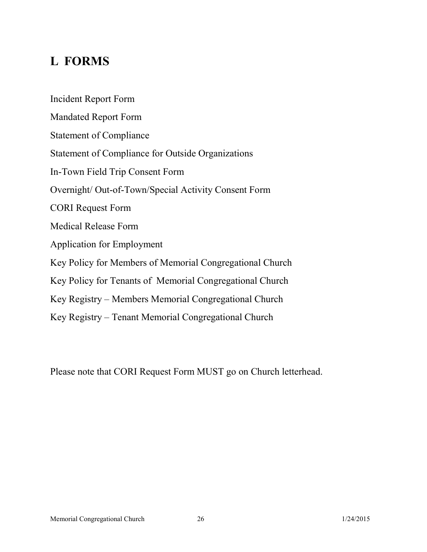# **L FORMS**

Incident Report Form Mandated Report Form Statement of Compliance Statement of Compliance for Outside Organizations In-Town Field Trip Consent Form Overnight/ Out-of-Town/Special Activity Consent Form CORI Request Form Medical Release Form Application for Employment Key Policy for Members of Memorial Congregational Church Key Policy for Tenants of Memorial Congregational Church Key Registry – Members Memorial Congregational Church Key Registry – Tenant Memorial Congregational Church

Please note that CORI Request Form MUST go on Church letterhead.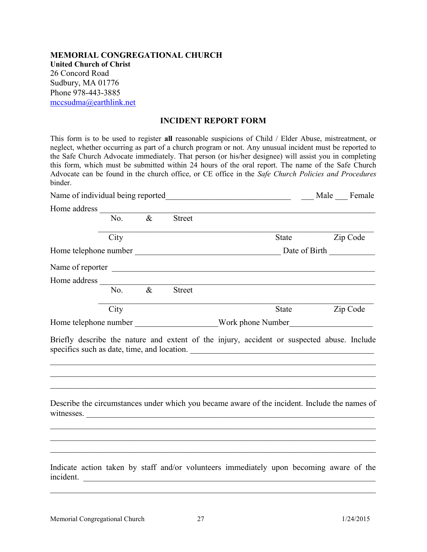**MEMORIAL CONGREGATIONAL CHURCH United Church of Christ** 26 Concord Road Sudbury, MA 01776 Phone 978-443-3885 mccsudma@earthlink.net

#### **INCIDENT REPORT FORM**

This form is to be used to register **all** reasonable suspicions of Child / Elder Abuse, mistreatment, or neglect, whether occurring as par<sup>t</sup> of <sup>a</sup> church program or not. Any unusual incident must be reported to the Safe Church Advocate immediately. That person (or his/her designee) will assist you in completing this form, which must be submitted within 24 hours of the oral report. The name of the Safe Church Advocate can be found in the church office, or CE office in the *Safe Church Policies and Procedures* binder.

|              |      | Name of individual being reported |               | <u> 1989 - Johann John Stein, mars an deus Amerikaansk kommunister (</u>                                                                                                         | Male Female   |
|--------------|------|-----------------------------------|---------------|----------------------------------------------------------------------------------------------------------------------------------------------------------------------------------|---------------|
| Home address |      |                                   |               |                                                                                                                                                                                  |               |
|              | No.  | $\overline{\mathscr{X}}$          | <b>Street</b> |                                                                                                                                                                                  |               |
|              | City |                                   |               | State                                                                                                                                                                            | Zip Code      |
|              |      |                                   |               | Home telephone number                                                                                                                                                            | Date of Birth |
|              |      |                                   |               |                                                                                                                                                                                  |               |
|              |      |                                   |               |                                                                                                                                                                                  |               |
|              | No.  | $\&$                              | Street        |                                                                                                                                                                                  |               |
|              | City |                                   |               | State                                                                                                                                                                            | Zip Code      |
|              |      |                                   |               | Home telephone number _______________________Work phone Number __________________                                                                                                |               |
|              |      |                                   |               |                                                                                                                                                                                  |               |
|              |      |                                   |               | Briefly describe the nature and extent of the injury, accident or suspected abuse. Include<br>specifics such as date, time, and location.                                        |               |
|              |      |                                   |               | Describe the circumstances under which you became aware of the incident. Include the names of<br>witnesses. $\frac{1}{\sqrt{1-\frac{1}{2}}\left(\frac{1}{2}-\frac{1}{2}\right)}$ |               |

\_\_\_\_\_\_\_\_\_\_\_\_\_\_\_\_\_\_\_\_\_\_\_\_\_\_\_\_\_\_\_\_\_\_\_\_\_\_\_\_\_\_\_\_\_\_\_\_\_\_\_\_\_\_\_\_\_\_\_\_\_\_\_\_\_\_\_\_\_\_\_\_\_\_\_\_\_\_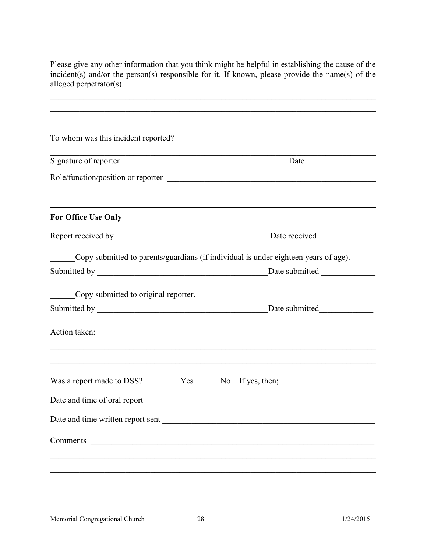Please give any other information that you think might be helpful in establishing the cause of the incident(s) and/or the person(s) responsible for it. If known, please provide the name(s) of the alleged perpetrator(s).

|                                                            | To whom was this incident reported?                                                 |
|------------------------------------------------------------|-------------------------------------------------------------------------------------|
| Signature of reporter                                      | Date                                                                                |
|                                                            | Role/function/position or reporter                                                  |
| <b>For Office Use Only</b>                                 |                                                                                     |
|                                                            |                                                                                     |
|                                                            | Copy submitted to parents/guardians (if individual is under eighteen years of age). |
|                                                            | Date submitted                                                                      |
| Copy submitted to original reporter.                       |                                                                                     |
|                                                            | Date submitted                                                                      |
|                                                            |                                                                                     |
|                                                            |                                                                                     |
| Was a report made to DSS? ______Yes ______No If yes, then; |                                                                                     |
|                                                            |                                                                                     |
| Date and time of oral report                               |                                                                                     |
|                                                            | Date and time written report sent                                                   |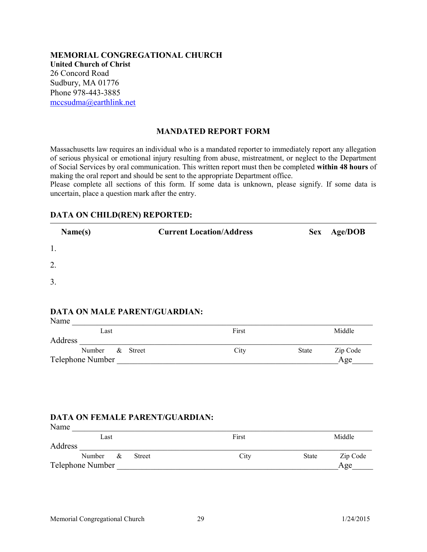**MEMORIAL CONGREGATIONAL CHURCH United Church of Christ** 26 Concord Road Sudbury, MA 01776 Phone 978-443-3885 mccsudma@earthlink.net

#### **MANDATED REPORT FORM**

Massachusetts law requires an individual who is <sup>a</sup> mandated reporter to immediately report any allegation of serious physical or emotional injury resulting from abuse, mistreatment, or neglect to the Department of Social Services by oral communication. This written report must then be completed **within 48 hours** of making the oral repor<sup>t</sup> and should be sent to the appropriate Department office.

Please complete all sections of this form. If some data is unknown, please signify. If some data is uncertain, place <sup>a</sup> question mark after the entry.

#### **DATA ON CHILD(REN) REPORTED:**

| Name(s) | <b>Current Location/Address</b> | Sex Age/DOB |
|---------|---------------------------------|-------------|
| 1.      |                                 |             |
| 2.      |                                 |             |
| 3.      |                                 |             |

## **DATA ON MALE PARENT/GUARDIAN:**

| Name    |                    |        |       |       |          |
|---------|--------------------|--------|-------|-------|----------|
|         | Last               |        | First |       | Middle   |
| Address |                    |        |       |       |          |
|         | Number<br>$\alpha$ | Street | City  | State | Zip Code |
|         | Telephone Number   |        |       |       | Age      |

## **DATA ON FEMALE PARENT/GUARDIAN:**

| Name    |                    |               |       |              |          |
|---------|--------------------|---------------|-------|--------------|----------|
|         | Last               |               | First |              | Middle   |
| Address |                    |               |       |              |          |
|         | Number<br>$\alpha$ | <b>Street</b> | City  | <b>State</b> | Zip Code |
|         | Telephone Number   |               |       |              | Age      |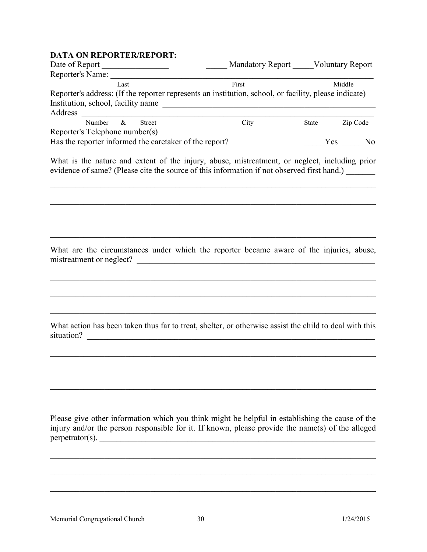# **DATA ON REPORTER/REPORT:**

|                                                                                                                                                                                                                                              | Mandatory Report Voluntary Report |                |  |
|----------------------------------------------------------------------------------------------------------------------------------------------------------------------------------------------------------------------------------------------|-----------------------------------|----------------|--|
| Reporter's Name: Manual Manual Manual Manual Manual Manual Manual Manual Manual Manual Manual Manual Manual Ma<br>Last                                                                                                                       | First                             | Middle         |  |
| Reporter's address: (If the reporter represents an institution, school, or facility, please indicate)                                                                                                                                        |                                   |                |  |
| Institution, school, facility name                                                                                                                                                                                                           |                                   |                |  |
| Address<br><u> 1989 - Johann Barbara, martin amerikan basal dan berasal dalam basal dalam basal dalam basal dalam basal dala</u>                                                                                                             |                                   |                |  |
| $\&$<br>Street<br>Number                                                                                                                                                                                                                     | City                              | State Zip Code |  |
| Reporter's Telephone number(s)<br>Has the reporter informed the caretaker of the report?                                                                                                                                                     |                                   | Yes No         |  |
|                                                                                                                                                                                                                                              |                                   |                |  |
| What is the nature and extent of the injury, abuse, mistreatment, or neglect, including prior<br>evidence of same? (Please cite the source of this information if not observed first hand.)                                                  |                                   |                |  |
| What are the circumstances under which the reporter became aware of the injuries, abuse,                                                                                                                                                     |                                   |                |  |
| mistreatment or neglect?                                                                                                                                                                                                                     |                                   |                |  |
|                                                                                                                                                                                                                                              |                                   |                |  |
| What action has been taken thus far to treat, shelter, or otherwise assist the child to deal with this<br>situation?<br><u> 1980 - Jan Stein Stein Stein Stein Stein Stein Stein Stein Stein Stein Stein Stein Stein Stein Stein Stein S</u> |                                   |                |  |
|                                                                                                                                                                                                                                              |                                   |                |  |
| Please give other information which you think might be helpful in establishing the cause of the<br>injury and/or the person responsible for it. If known, please provide the name(s) of the alleged<br>perpetrator(s).                       |                                   |                |  |
|                                                                                                                                                                                                                                              |                                   |                |  |

\_\_\_\_\_\_\_\_\_\_\_\_\_\_\_\_\_\_\_\_\_\_\_\_\_\_\_\_\_\_\_\_\_\_\_\_\_\_\_\_\_\_\_\_\_\_\_\_\_\_\_\_\_\_\_\_\_\_\_\_\_\_\_\_\_\_\_\_\_\_\_\_\_\_\_\_\_\_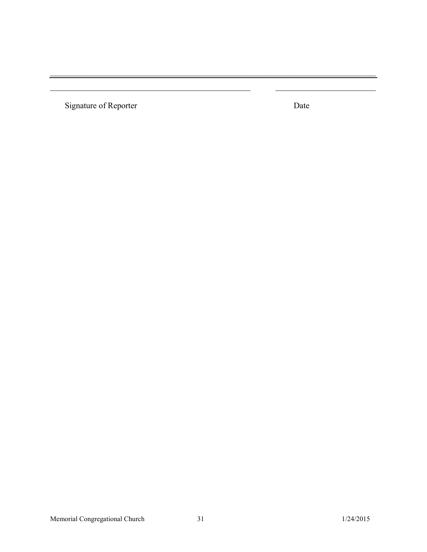Signature of Reporter

Date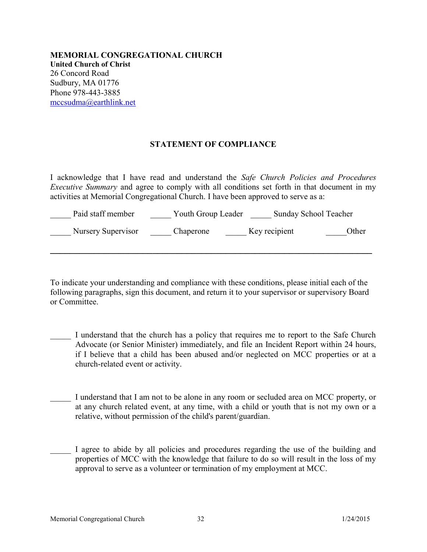**MEMORIAL CONGREGATIONAL CHURCH United Church of Christ** 26 Concord Road Sudbury, MA 01776 Phone 978-443-3885 mccsudma@earthlink.net

## **STATEMENT OF COMPLIANCE**

I acknowledge that I have read and understand the *Safe Church Policies and Procedures Executive Summary* and agree to comply with all conditions set forth in that document in my activities at Memorial Congregational Church. I have been approved to serve as a:

| Paid staff member  | Youth Group Leader | Sunday School Teacher |       |
|--------------------|--------------------|-----------------------|-------|
| Nursery Supervisor | Chaperone          | Key recipient         | Other |

**\_\_\_\_\_\_\_\_\_\_\_\_\_\_\_\_\_\_\_\_\_\_\_\_\_\_\_\_\_\_\_\_\_\_\_\_\_\_\_\_\_\_\_\_\_\_\_\_\_\_\_\_\_\_\_\_\_\_\_\_\_\_\_\_\_\_** 

To indicate your understanding and compliance with these conditions, please initial each of the following paragraphs, sign this document, and return it to your supervisor or supervisory Board or Committee.

- I understand that the church has a policy that requires me to report to the Safe Church Advocate (or Senior Minister) immediately, and file an Incident Report within 24 hours, if I believe that <sup>a</sup> child has been abused and/or neglected on MCC properties or at <sup>a</sup> church-related event or activity.
- I understand that I am not to be alone in any room or secluded area on MCC property, or at any church related event, at any time, with <sup>a</sup> child or youth that is not my own or <sup>a</sup> relative, without permission of the child's parent/guardian.
- I agree to abide by all policies and procedures regarding the use of the building and properties of MCC with the knowledge that failure to do so will result in the loss of my approval to serve as a volunteer or termination of my employment at MCC.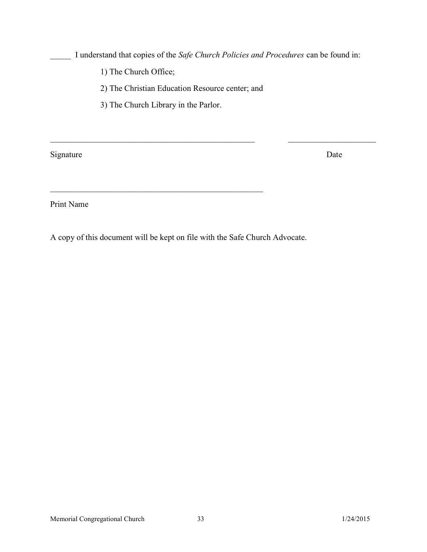\_\_\_\_\_ I understand that copies of the *Safe Church Policies and Procedures* can be found in:

\_\_\_\_\_\_\_\_\_\_\_\_\_\_\_\_\_\_\_\_\_\_\_\_\_\_\_\_\_\_\_\_\_\_\_\_\_\_\_\_\_\_\_\_\_\_\_\_\_ \_\_\_\_\_\_\_\_\_\_\_\_\_\_\_\_\_\_\_\_\_

1) The Church Office;

2) The Christian Education Resource center; and

3) The Church Library in the Parlor.

 $\mathcal{L}_\mathcal{L} = \mathcal{L}_\mathcal{L} = \mathcal{L}_\mathcal{L} = \mathcal{L}_\mathcal{L} = \mathcal{L}_\mathcal{L} = \mathcal{L}_\mathcal{L} = \mathcal{L}_\mathcal{L} = \mathcal{L}_\mathcal{L} = \mathcal{L}_\mathcal{L} = \mathcal{L}_\mathcal{L} = \mathcal{L}_\mathcal{L} = \mathcal{L}_\mathcal{L} = \mathcal{L}_\mathcal{L} = \mathcal{L}_\mathcal{L} = \mathcal{L}_\mathcal{L} = \mathcal{L}_\mathcal{L} = \mathcal{L}_\mathcal{L}$ 

Signature Date

Print Name

A copy of this document will be kept on file with the Safe Church Advocate.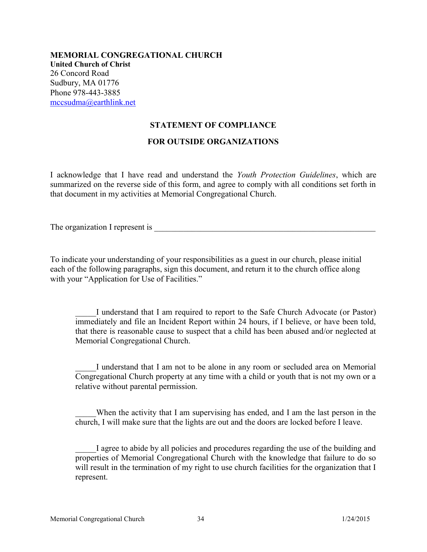**MEMORIAL CONGREGATIONAL CHURCH United Church of Christ** 26 Concord Road Sudbury, MA 01776 Phone 978-443-3885 mccsudma@earthlink.net

#### **STATEMENT OF COMPLIANCE**

#### **FOR OUTSIDE ORGANIZATIONS**

I acknowledge that I have read and understand the *Youth Protection Guidelines*, which are summarized on the reverse side of this form, and agree to comply with all conditions set forth in that document in my activities at Memorial Congregational Church.

The organization I represent is

To indicate your understanding of your responsibilities as a guest in our church, please initial each of the following paragraphs, sign this document, and return it to the church office along with your "Application for Use of Facilities."

\_\_\_\_\_I understand that I am required to repor<sup>t</sup> to the Safe Church Advocate (or Pastor) immediately and file an Incident Report within 24 hours, if I believe, or have been told, that there is reasonable cause to suspec<sup>t</sup> that <sup>a</sup> child has been abused and/or neglected at Memorial Congregational Church.

I understand that I am not to be alone in any room or secluded area on Memorial Congregational Church property at any time with <sup>a</sup> child or youth that is not my own or <sup>a</sup> relative without parental permission.

When the activity that I am supervising has ended, and I am the last person in the church, I will make sure that the lights are out and the doors are locked before I leave.

I agree to abide by all policies and procedures regarding the use of the building and properties of Memorial Congregational Church with the knowledge that failure to do so will result in the termination of my right to use church facilities for the organization that I represent.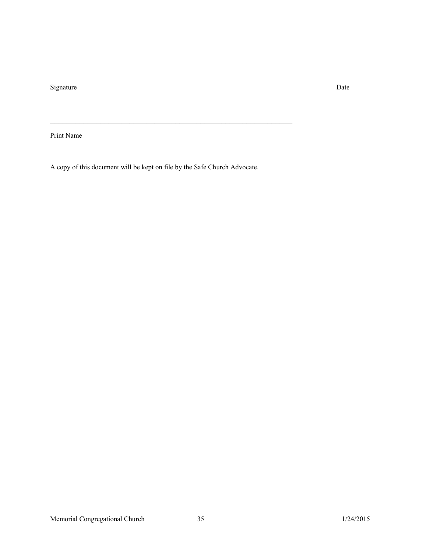Signature Date Date of the Date of the Date of the Date of the Date of the Date of the Date of the Date of the

Print Name

A copy of this document will be kept on file by the Safe Church Advocate.

\_\_\_\_\_\_\_\_\_\_\_\_\_\_\_\_\_\_\_\_\_\_\_\_\_\_\_\_\_\_\_\_\_\_\_\_\_\_\_\_\_\_\_\_\_\_\_\_\_\_\_\_\_\_\_\_\_\_

\_\_\_\_\_\_\_\_\_\_\_\_\_\_\_\_\_\_\_\_\_\_\_\_\_\_\_\_\_\_\_\_\_\_\_\_\_\_\_\_\_\_\_\_\_\_\_\_\_\_\_\_\_\_\_\_\_\_ \_\_\_\_\_\_\_\_\_\_\_\_\_\_\_\_\_\_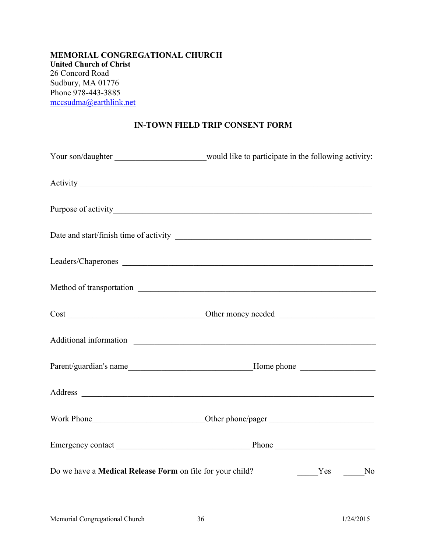**MEMORIAL CONGREGATIONAL CHURCH United Church of Christ** 26 Concord Road Sudbury, MA 01776 Phone 978-443-3885 mccsudma@earthlink.net

# **IN-TOWN FIELD TRIP CONSENT FORM**

|                                                           | Your son/daughter _________________________would like to participate in the following activity: |
|-----------------------------------------------------------|-------------------------------------------------------------------------------------------------|
|                                                           |                                                                                                 |
|                                                           |                                                                                                 |
|                                                           |                                                                                                 |
|                                                           | Leaders/Chaperones                                                                              |
|                                                           |                                                                                                 |
|                                                           |                                                                                                 |
|                                                           |                                                                                                 |
|                                                           |                                                                                                 |
|                                                           |                                                                                                 |
|                                                           |                                                                                                 |
|                                                           |                                                                                                 |
| Do we have a Medical Release Form on file for your child? | Yes No                                                                                          |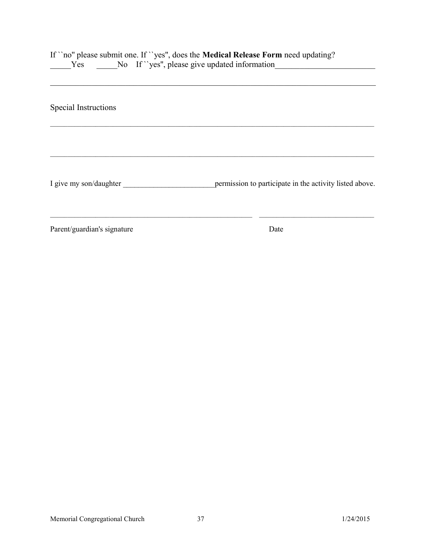| Yes                         | If "no" please submit one. If "yes", does the Medical Release Form need updating?<br>No If "yes", please give updated information |
|-----------------------------|-----------------------------------------------------------------------------------------------------------------------------------|
| Special Instructions        |                                                                                                                                   |
| I give my son/daughter      | permission to participate in the activity listed above.                                                                           |
| Parent/guardian's signature | Date                                                                                                                              |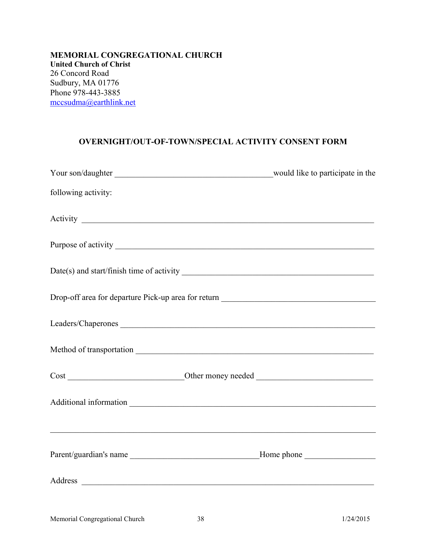**MEMORIAL CONGREGATIONAL CHURCH United Church of Christ** 26 Concord Road Sudbury, MA 01776 Phone 978-443-3885 mccsudma@earthlink.net

### **OVERNIGHT/OUT-OF-TOWN/SPECIAL ACTIVITY CONSENT FORM**

| following activity:                                                               |  |
|-----------------------------------------------------------------------------------|--|
|                                                                                   |  |
|                                                                                   |  |
|                                                                                   |  |
|                                                                                   |  |
|                                                                                   |  |
|                                                                                   |  |
|                                                                                   |  |
|                                                                                   |  |
| ,我们也不能在这里的人,我们也不能在这里的人,我们也不能在这里的人,我们也不能在这里的人,我们也不能在这里的人,我们也不能在这里的人,我们也不能在这里的人,我们也 |  |
|                                                                                   |  |
|                                                                                   |  |
|                                                                                   |  |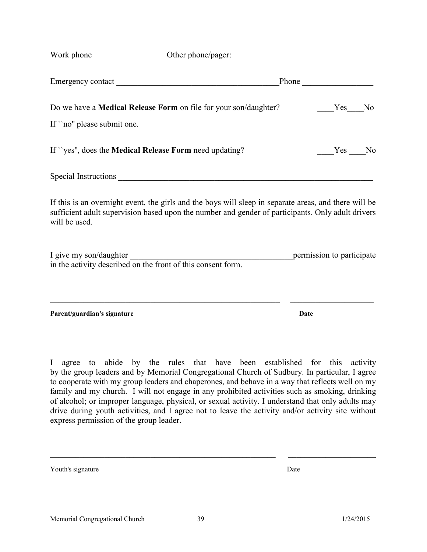|                                                                                        |                                                                                                                                                                                                            | Phone                     |
|----------------------------------------------------------------------------------------|------------------------------------------------------------------------------------------------------------------------------------------------------------------------------------------------------------|---------------------------|
|                                                                                        | Do we have a <b>Medical Release Form</b> on file for your son/daughter?                                                                                                                                    | Yes<br>No                 |
| If "no" please submit one.                                                             |                                                                                                                                                                                                            |                           |
| If "yes", does the <b>Medical Release Form</b> need updating?                          |                                                                                                                                                                                                            | Yes No                    |
|                                                                                        |                                                                                                                                                                                                            |                           |
| will be used.                                                                          | If this is an overnight event, the girls and the boys will sleep in separate areas, and there will be<br>sufficient adult supervision based upon the number and gender of participants. Only adult drivers |                           |
| I give my son/daughter<br>in the activity described on the front of this consent form. |                                                                                                                                                                                                            | permission to participate |
| Parent/guardian's signature                                                            |                                                                                                                                                                                                            | Date                      |

I agree to abide by the rules that have been established for this activity by the group leaders and by Memorial Congregational Church of Sudbury. In particular, I agree to cooperate with my group leaders and chaperones, and behave in a way that reflects well on my family and my church. I will not engage in any prohibited activities such as smoking, drinking of alcohol; or improper language, physical, or sexual activity. I understand that only adults may drive during youth activities, and I agree not to leave the activity and/or activity site without express permission of the group leader.

\_\_\_\_\_\_\_\_\_\_\_\_\_\_\_\_\_\_\_\_\_\_\_\_\_\_\_\_\_\_\_\_\_\_\_\_\_\_\_\_\_\_\_\_\_\_\_\_\_\_\_\_\_\_ \_\_\_\_\_\_\_\_\_\_\_\_\_\_\_\_\_\_\_\_\_

Youth's signature Date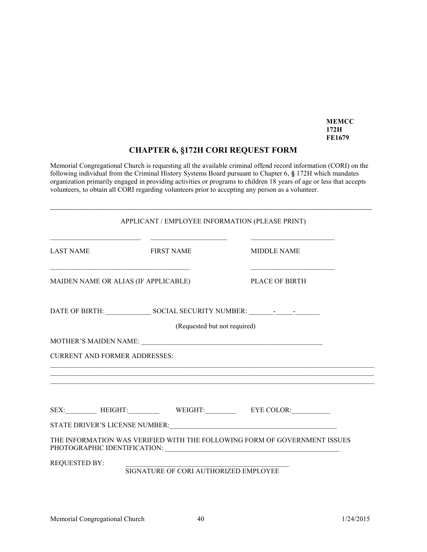**MEMCC 172H FE1679**

## **CHAPTER 6, §172H CORI REQUEST FORM**

Memorial Congregational Church is requesting all the available criminal offend record information (CORI) on the following individual from the Criminal History Systems Board pursuan<sup>t</sup> to Chapter 6, **§** 172H which mandates organization primarily engaged in providing activities or programs to children 18 years of age or less that accepts volunteers, to obtain all CORI regarding volunteers prior to accepting any person as a volunteer.

\_\_\_\_\_\_\_\_\_\_\_\_\_\_\_\_\_\_\_\_\_\_\_\_\_\_\_\_\_\_\_\_\_\_\_\_\_\_\_\_\_\_\_\_\_\_\_\_\_\_\_\_\_\_\_\_\_\_\_\_\_\_\_\_\_\_\_\_\_\_\_\_\_\_\_\_\_

|                                      | APPLICANT / EMPLOYEE INFORMATION (PLEASE PRINT) |                                                                                                                                                                                                                                                            |
|--------------------------------------|-------------------------------------------------|------------------------------------------------------------------------------------------------------------------------------------------------------------------------------------------------------------------------------------------------------------|
| <b>LAST NAME</b>                     | <b>FIRST NAME</b>                               | <u> 2002 - John Harry John Harry John Harry John Harry John Harry John Harry John Harry John Harry John Harry John Harry John Harry John Harry John Harry John Harry John Harry John Harry John Harry John Harry John Harry John</u><br><b>MIDDLE NAME</b> |
| MAIDEN NAME OR ALIAS (IF APPLICABLE) |                                                 | <b>PLACE OF BIRTH</b>                                                                                                                                                                                                                                      |
|                                      |                                                 | DATE OF BIRTH: SOCIAL SECURITY NUMBER: Processes and SOCIAL SECURITY NUMBER:                                                                                                                                                                               |
|                                      | (Requested but not required)                    |                                                                                                                                                                                                                                                            |
|                                      |                                                 |                                                                                                                                                                                                                                                            |
| <b>CURRENT AND FORMER ADDRESSES:</b> |                                                 |                                                                                                                                                                                                                                                            |
|                                      |                                                 |                                                                                                                                                                                                                                                            |
|                                      |                                                 | SEX: HEIGHT: WEIGHT: WEIGHT: EYE COLOR:                                                                                                                                                                                                                    |
|                                      |                                                 |                                                                                                                                                                                                                                                            |
|                                      |                                                 | THE INFORMATION WAS VERIFIED WITH THE FOLLOWING FORM OF GOVERNMENT ISSUES                                                                                                                                                                                  |
| <b>REQUESTED BY:</b>                 | SIGNATURE OF CORI AUTHORIZED EMPLOYEE           |                                                                                                                                                                                                                                                            |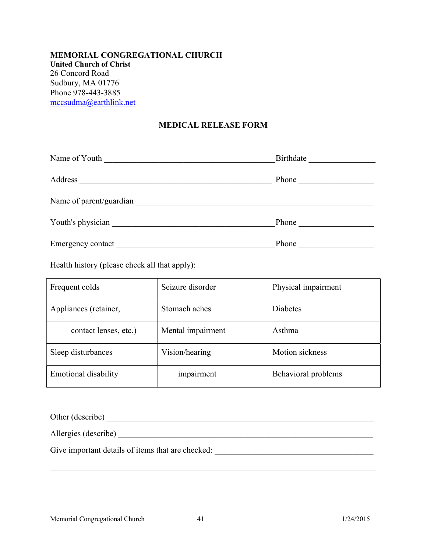#### **MEMORIAL CONGREGATIONAL CHURCH United Church of Christ** 26 Concord Road Sudbury, MA 01776 Phone 978-443-3885 mccsudma@earthlink.net

#### **MEDICAL RELEASE FORM**

| Name of Youth                                                             |                  |
|---------------------------------------------------------------------------|------------------|
| Address<br><u> 1980 - Johann Stein, mars an deutscher Stein (d. 1980)</u> | Phone <u>and</u> |
| Name of parent/guardian                                                   |                  |
|                                                                           |                  |
|                                                                           | Phone            |

Health history (please check all that apply):

| Frequent colds              | Seizure disorder  | Physical impairment |
|-----------------------------|-------------------|---------------------|
| Appliances (retainer,       | Stomach aches     | <b>Diabetes</b>     |
| contact lenses, etc.)       | Mental impairment | Asthma              |
| Sleep disturbances          | Vision/hearing    | Motion sickness     |
| <b>Emotional disability</b> | impairment        | Behavioral problems |

| Other (describe) |  |
|------------------|--|
|                  |  |

\_\_\_\_\_\_\_\_\_\_\_\_\_\_\_\_\_\_\_\_\_\_\_\_\_\_\_\_\_\_\_\_\_\_\_\_\_\_\_\_\_\_\_\_\_\_\_\_\_\_\_\_\_\_\_\_\_\_\_\_\_\_\_\_\_\_\_\_\_\_\_\_\_\_\_\_\_\_

Allergies (describe) \_\_\_\_\_\_\_\_\_\_\_\_\_\_\_\_\_\_\_\_\_\_\_\_\_\_\_\_\_\_\_\_\_\_\_\_\_\_\_\_\_\_\_\_\_\_\_\_\_\_\_\_\_\_\_\_\_\_\_\_\_

Give important details of items that are checked: \_\_\_\_\_\_\_\_\_\_\_\_\_\_\_\_\_\_\_\_\_\_\_\_\_\_\_\_\_\_\_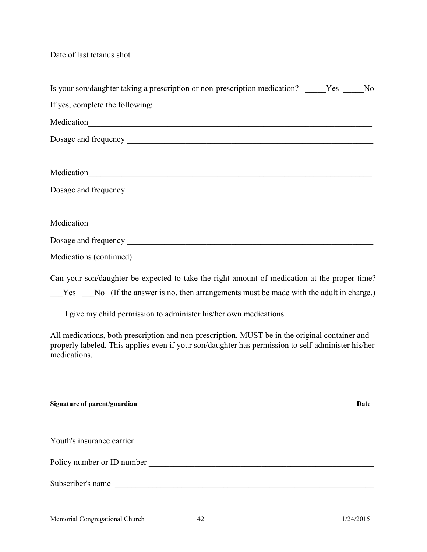| Is your son/daughter taking a prescription or non-prescription medication? _____Yes ____No                                                                                                                           |
|----------------------------------------------------------------------------------------------------------------------------------------------------------------------------------------------------------------------|
| If yes, complete the following:                                                                                                                                                                                      |
| Medication<br><u>Medication</u>                                                                                                                                                                                      |
|                                                                                                                                                                                                                      |
|                                                                                                                                                                                                                      |
| Medication<br><u>Medication</u>                                                                                                                                                                                      |
|                                                                                                                                                                                                                      |
|                                                                                                                                                                                                                      |
|                                                                                                                                                                                                                      |
|                                                                                                                                                                                                                      |
| Medications (continued)                                                                                                                                                                                              |
| Can your son/daughter be expected to take the right amount of medication at the proper time?                                                                                                                         |
| $Yes$ No (If the answer is no, then arrangements must be made with the adult in charge.)                                                                                                                             |
| I give my child permission to administer his/her own medications.                                                                                                                                                    |
| All medications, both prescription and non-prescription, MUST be in the original container and<br>properly labeled. This applies even if your son/daughter has permission to self-administer his/her<br>medications. |
|                                                                                                                                                                                                                      |
| Signature of parent/guardian<br>Date                                                                                                                                                                                 |
|                                                                                                                                                                                                                      |
|                                                                                                                                                                                                                      |
| Subscriber's name<br><u> 1989 - Johann Stoff, deutscher Stoffen und der Stoffen und der Stoffen und der Stoffen und der Stoffen und der</u>                                                                          |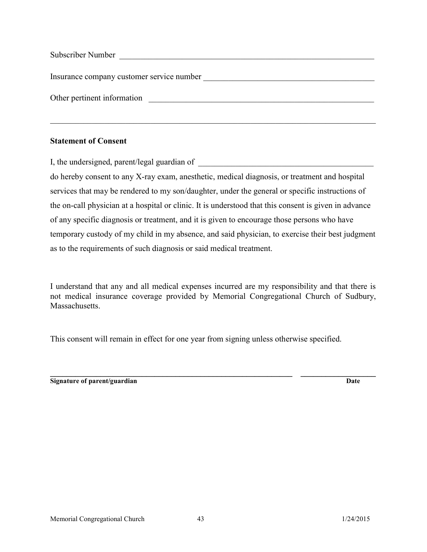| Subscriber Number                         |  |
|-------------------------------------------|--|
| Insurance company customer service number |  |
| Other pertinent information               |  |

\_\_\_\_\_\_\_\_\_\_\_\_\_\_\_\_\_\_\_\_\_\_\_\_\_\_\_\_\_\_\_\_\_\_\_\_\_\_\_\_\_\_\_\_\_\_\_\_\_\_\_\_\_\_\_\_\_\_\_\_\_\_\_\_\_\_\_\_\_\_\_\_\_\_\_\_\_\_

#### **Statement of Consent**

I, the undersigned, parent/legal guardian of

do hereby consent to any X-ray exam, anesthetic, medical diagnosis, or treatment and hospital services that may be rendered to my son/daughter, under the general or specific instructions of the on-call physician at <sup>a</sup> hospital or clinic. It is understood that this consent is given in advance of any specific diagnosis or treatment, and it is given to encourage those persons who have temporary custody of my child in my absence, and said physician, to exercise their best judgment as to the requirements of such diagnosis or said medical treatment.

I understand that any and all medical expenses incurred are my responsibility and that there is not medical insurance coverage provided by Memorial Congregational Church of Sudbury, **Massachusetts** 

This consent will remain in effect for one year from signing unless otherwise specified.

**\_\_\_\_\_\_\_\_\_\_\_\_\_\_\_\_\_\_\_\_\_\_\_\_\_\_\_\_\_\_\_\_\_\_\_\_\_\_\_\_\_\_\_\_\_\_\_\_\_\_\_\_\_\_\_\_\_\_ \_\_\_\_\_\_\_\_\_\_\_\_\_\_\_\_\_\_ Signature of parent/guardian Date**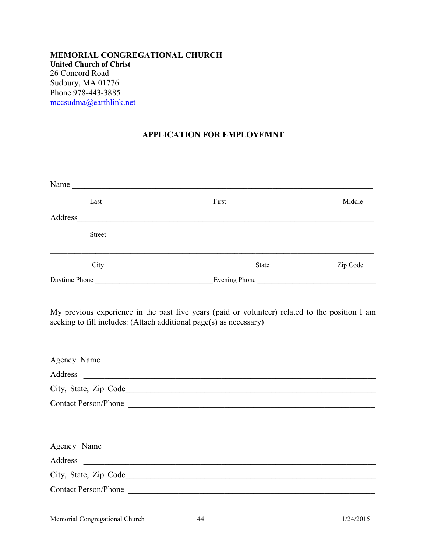### **MEMORIAL CONGREGATIONAL CHURCH United Church of Christ** 26 Concord Road Sudbury, MA 01776 Phone 978-443-3885 mccsudma@earthlink.net

# **APPLICATION FOR EMPLOYEMNT**

|         |               | Name                                                                                                                                                                                |          |
|---------|---------------|-------------------------------------------------------------------------------------------------------------------------------------------------------------------------------------|----------|
|         | Last          | First                                                                                                                                                                               | Middle   |
|         |               |                                                                                                                                                                                     |          |
|         | <b>Street</b> |                                                                                                                                                                                     |          |
|         | City          | <b>State</b>                                                                                                                                                                        | Zip Code |
|         |               |                                                                                                                                                                                     |          |
|         |               | My previous experience in the past five years (paid or volunteer) related to the position I am<br>seeking to fill includes: (Attach additional page(s) as necessary)<br>Agency Name |          |
| Address |               | <u> Alexandria de la contrada de la contrada de la contrada de la contrada de la contrada de la contrada de la c</u>                                                                |          |
|         |               | Contact Person/Phone                                                                                                                                                                |          |
|         |               |                                                                                                                                                                                     |          |
|         |               | Agency Name                                                                                                                                                                         |          |
|         |               |                                                                                                                                                                                     |          |
|         |               |                                                                                                                                                                                     |          |
|         |               | Contact Person/Phone                                                                                                                                                                |          |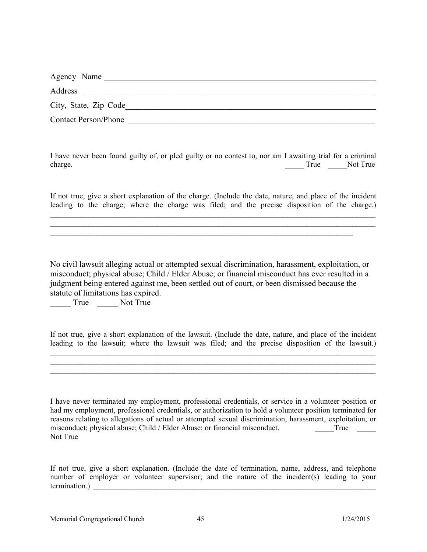| Agency Name                 |  |
|-----------------------------|--|
| Address                     |  |
| City, State, Zip Code       |  |
| <b>Contact Person/Phone</b> |  |

I have never been found guilty of, or pled guilty or no contest to, nor am I awaiting trial for <sup>a</sup> criminal charge. Not True Not True Not True Not True

If not true, give <sup>a</sup> short explanation of the charge. (Include the date, nature, and place of the incident leading to the charge; where the charge was filed; and the precise disposition of the charge.)

\_\_\_\_\_\_\_\_\_\_\_\_\_\_\_\_\_\_\_\_\_\_\_\_\_\_\_\_\_\_\_\_\_\_\_\_\_\_\_\_\_\_\_\_\_\_\_\_\_\_\_\_\_\_\_\_\_\_\_\_\_\_\_\_\_\_\_\_\_\_\_\_\_\_\_\_\_\_\_\_\_\_\_\_\_  $\_$  . The contribution of the contribution of the contribution of the contribution of the contribution of the contribution of the contribution of the contribution of the contribution of the contribution of the contributio

\_\_\_\_\_\_\_\_\_\_\_\_\_\_\_\_\_\_\_\_\_\_\_\_\_\_\_\_\_\_\_\_\_\_\_\_\_\_\_\_\_\_\_\_\_\_\_\_\_\_\_\_\_\_\_\_\_\_\_\_\_\_\_\_\_\_\_\_\_\_\_\_\_\_\_\_\_\_\_

No civil lawsuit alleging actual or attempted sexual discrimination, harassment, exploitation, or misconduct; physical abuse; Child / Elder Abuse; or financial misconduct has ever resulted in a judgment being entered against me, been settled out of court, or been dismissed because the statute of limitations has expired.

\_\_\_\_\_ True \_\_\_\_\_ Not True

If not true, give <sup>a</sup> short explanation of the lawsuit. (Include the date, nature, and place of the incident leading to the lawsuit; where the lawsuit was filed; and the precise disposition of the lawsuit.)

\_\_\_\_\_\_\_\_\_\_\_\_\_\_\_\_\_\_\_\_\_\_\_\_\_\_\_\_\_\_\_\_\_\_\_\_\_\_\_\_\_\_\_\_\_\_\_\_\_\_\_\_\_\_\_\_\_\_\_\_\_\_\_\_\_\_\_\_\_\_\_\_\_\_\_\_\_\_\_\_\_\_\_\_\_  $\_$  . The contribution of the contribution of the contribution of the contribution of the contribution of the contribution of the contribution of the contribution of the contribution of the contribution of the contributio \_\_\_\_\_\_\_\_\_\_\_\_\_\_\_\_\_\_\_\_\_\_\_\_\_\_\_\_\_\_\_\_\_\_\_\_\_\_\_\_\_\_\_\_\_\_\_\_\_\_\_\_\_\_\_\_\_\_\_\_\_\_\_\_\_\_\_\_\_\_\_\_\_\_\_\_\_\_\_\_\_\_\_\_\_

I have never terminated my employment, professional credentials, or service in <sup>a</sup> volunteer position or had my employment, professional credentials, or authorization to hold <sup>a</sup> volunteer position terminated for reasons relating to allegations of actual or attempted sexual discrimination, harassment, exploitation, or misconduct; physical abuse; Child / Elder Abuse; or financial misconduct. True  $\tilde{T}$ rue Not True

If not true, give <sup>a</sup> short explanation. (Include the date of termination, name, address, and telephone number of employer or volunteer supervisor; and the nature of the incident(s) leading to your termination.) \_\_\_\_\_\_\_\_\_\_\_\_\_\_\_\_\_\_\_\_\_\_\_\_\_\_\_\_\_\_\_\_\_\_\_\_\_\_\_\_\_\_\_\_\_\_\_\_\_\_\_\_\_\_\_\_\_\_\_\_\_\_\_\_\_\_\_\_\_\_\_\_\_\_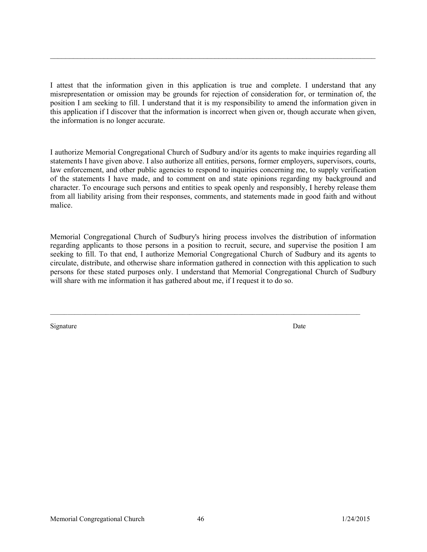I attest that the information given in this application is true and complete. I understand that any misrepresentation or omission may be grounds for rejection of consideration for, or termination of, the position I am seeking to fill. I understand that it is my responsibility to amend the information given in this application if I discover that the information is incorrect when given or, though accurate when given, the information is no longer accurate.

 $\mathcal{L}_\mathcal{L} = \{ \mathcal{L}_\mathcal{L} = \{ \mathcal{L}_\mathcal{L} = \{ \mathcal{L}_\mathcal{L} = \{ \mathcal{L}_\mathcal{L} = \{ \mathcal{L}_\mathcal{L} = \{ \mathcal{L}_\mathcal{L} = \{ \mathcal{L}_\mathcal{L} = \{ \mathcal{L}_\mathcal{L} = \{ \mathcal{L}_\mathcal{L} = \{ \mathcal{L}_\mathcal{L} = \{ \mathcal{L}_\mathcal{L} = \{ \mathcal{L}_\mathcal{L} = \{ \mathcal{L}_\mathcal{L} = \{ \mathcal{L}_\mathcal{$ 

I authorize Memorial Congregational Church of Sudbury and/or its agents to make inquiries regarding all statements I have given above. I also authorize all entities, persons, former employers, supervisors, courts, law enforcement, and other public agencies to respond to inquiries concerning me, to supply verification of the statements I have made, and to comment on and state opinions regarding my background and character. To encourage such persons and entities to speak openly and responsibly, I hereby release them from all liability arising from their responses, comments, and statements made in good faith and without malice.

Memorial Congregational Church of Sudbury's hiring process involves the distribution of information regarding applicants to those persons in <sup>a</sup> position to recruit, secure, and supervise the position I am seeking to fill. To that end, I authorize Memorial Congregational Church of Sudbury and its agents to circulate, distribute, and otherwise share information gathered in connection with this application to such persons for these stated purposes only. I understand that Memorial Congregational Church of Sudbury will share with me information it has gathered about me, if I request it to do so.

Signature Date Date of the Date of the Date of the Date of the Date of the Date of the Date of the Date of the Date of the Date of the Date of the Date of the Date of the Date of the Date of the Date of the Date of the Dat